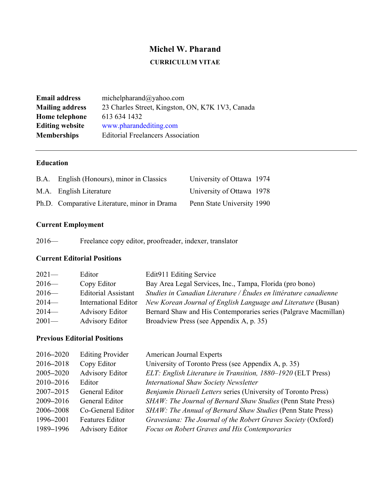# **Michel W. Pharand**

# **CURRICULUM VITAE**

| <b>Email address</b>   | michelpharand@yahoo.com                          |
|------------------------|--------------------------------------------------|
| <b>Mailing address</b> | 23 Charles Street, Kingston, ON, K7K 1V3, Canada |
| Home telephone         | 613 634 1432                                     |
| <b>Editing website</b> | www.pharandediting.com                           |
| <b>Memberships</b>     | <b>Editorial Freelancers Association</b>         |

# **Education**

| B.A. English (Honours), minor in Classics    | University of Ottawa 1974  |  |
|----------------------------------------------|----------------------------|--|
| M.A. English Literature                      | University of Ottawa 1978  |  |
| Ph.D. Comparative Literature, minor in Drama | Penn State University 1990 |  |

# **Current Employment**

| $2016-$ | Freelance copy editor, proofreader, indexer, translator |  |  |
|---------|---------------------------------------------------------|--|--|
|         |                                                         |  |  |

# **Current Editorial Positions**

| $2021-$ | Editor                     | Edit911 Editing Service                                           |
|---------|----------------------------|-------------------------------------------------------------------|
| $2016-$ | Copy Editor                | Bay Area Legal Services, Inc., Tampa, Florida (pro bono)          |
| $2016-$ | <b>Editorial Assistant</b> | Studies in Canadian Literature / Études en littérature canadienne |
| $2014-$ | International Editor       | New Korean Journal of English Language and Literature (Busan)     |
| $2014-$ | <b>Advisory Editor</b>     | Bernard Shaw and His Contemporaries series (Palgrave Macmillan)   |
| $2001-$ | <b>Advisory Editor</b>     | Broadview Press (see Appendix A, p. 35)                           |

# **Previous Editorial Positions**

| 2016-2020 | <b>Editing Provider</b> | American Journal Experts                                       |
|-----------|-------------------------|----------------------------------------------------------------|
| 2016-2018 | Copy Editor             | University of Toronto Press (see Appendix A, p. 35)            |
| 2005-2020 | <b>Advisory Editor</b>  | ELT: English Literature in Transition, 1880-1920 (ELT Press)   |
| 2010-2016 | Editor                  | <b>International Shaw Society Newsletter</b>                   |
| 2007-2015 | General Editor          | Benjamin Disraeli Letters series (University of Toronto Press) |
| 2009-2016 | <b>General Editor</b>   | SHAW: The Journal of Bernard Shaw Studies (Penn State Press)   |
| 2006-2008 | Co-General Editor       | SHAW: The Annual of Bernard Shaw Studies (Penn State Press)    |
| 1996-2001 | <b>Features Editor</b>  | Gravesiana: The Journal of the Robert Graves Society (Oxford)  |
| 1989-1996 | <b>Advisory Editor</b>  | Focus on Robert Graves and His Contemporaries                  |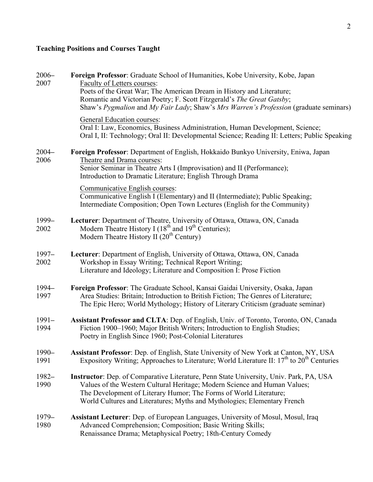# **Teaching Positions and Courses Taught**

| $2006 -$<br>2007 | Foreign Professor: Graduate School of Humanities, Kobe University, Kobe, Japan<br>Faculty of Letters courses:<br>Poets of the Great War; The American Dream in History and Literature;<br>Romantic and Victorian Poetry; F. Scott Fitzgerald's The Great Gatsby;<br>Shaw's Pygmalion and My Fair Lady; Shaw's Mrs Warren's Profession (graduate seminars)                                                                                              |
|------------------|--------------------------------------------------------------------------------------------------------------------------------------------------------------------------------------------------------------------------------------------------------------------------------------------------------------------------------------------------------------------------------------------------------------------------------------------------------|
|                  | General Education courses:<br>Oral I: Law, Economics, Business Administration, Human Development, Science;<br>Oral I, II: Technology; Oral II: Developmental Science; Reading II: Letters; Public Speaking                                                                                                                                                                                                                                             |
| $2004 -$<br>2006 | Foreign Professor: Department of English, Hokkaido Bunkyo University, Eniwa, Japan<br>Theatre and Drama courses:<br>Senior Seminar in Theatre Arts I (Improvisation) and II (Performance);<br>Introduction to Dramatic Literature; English Through Drama<br>Communicative English courses:<br>Communicative English I (Elementary) and II (Intermediate); Public Speaking;<br>Intermediate Composition; Open Town Lectures (English for the Community) |
| 1999-<br>2002    | Lecturer: Department of Theatre, University of Ottawa, Ottawa, ON, Canada<br>Modern Theatre History I (18 <sup>th</sup> and 19 <sup>th</sup> Centuries);<br>Modern Theatre History II $(20th Century)$                                                                                                                                                                                                                                                 |
| $1997 -$<br>2002 | Lecturer: Department of English, University of Ottawa, Ottawa, ON, Canada<br>Workshop in Essay Writing; Technical Report Writing;<br>Literature and Ideology; Literature and Composition I: Prose Fiction                                                                                                                                                                                                                                              |
| 1994-<br>1997    | Foreign Professor: The Graduate School, Kansai Gaidai University, Osaka, Japan<br>Area Studies: Britain; Introduction to British Fiction; The Genres of Literature;<br>The Epic Hero; World Mythology; History of Literary Criticism (graduate seminar)                                                                                                                                                                                                |
| $1991 -$<br>1994 | Assistant Professor and CLTA: Dep. of English, Univ. of Toronto, Toronto, ON, Canada<br>Fiction 1900–1960; Major British Writers; Introduction to English Studies;<br>Poetry in English Since 1960; Post-Colonial Literatures                                                                                                                                                                                                                          |
| $1990 -$<br>1991 | Assistant Professor: Dep. of English, State University of New York at Canton, NY, USA<br>Expository Writing; Approaches to Literature; World Literature II: $17th$ to $20th$ Centuries                                                                                                                                                                                                                                                                 |
| $1982 -$<br>1990 | Instructor: Dep. of Comparative Literature, Penn State University, Univ. Park, PA, USA<br>Values of the Western Cultural Heritage; Modern Science and Human Values;<br>The Development of Literary Humor; The Forms of World Literature;<br>World Cultures and Literatures; Myths and Mythologies; Elementary French                                                                                                                                   |
| $1979-$<br>1980  | Assistant Lecturer: Dep. of European Languages, University of Mosul, Mosul, Iraq<br>Advanced Comprehension; Composition; Basic Writing Skills;<br>Renaissance Drama; Metaphysical Poetry; 18th-Century Comedy                                                                                                                                                                                                                                          |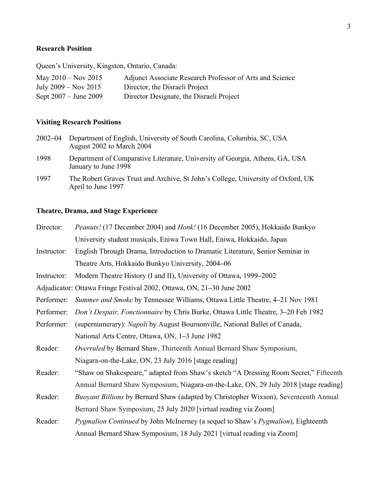# **Research Position**

Queen's University, Kingston, Ontario, Canada:

| May $2010 - Nov 2015$     | Adjunct Associate Research Professor of Arts and Science |
|---------------------------|----------------------------------------------------------|
| July $2009 - Nov 2015$    | Director, the Disraeli Project                           |
| Sept $2007 -$ June $2009$ | Director Designate, the Disraeli Project                 |

## **Visiting Research Positions**

| 2002–04 | Department of English, University of South Carolina, Columbia, SC, USA<br>August 2002 to March 2004  |
|---------|------------------------------------------------------------------------------------------------------|
| 1998    | Department of Comparative Literature, University of Georgia, Athens, GA, USA<br>January to June 1998 |

1997 The Robert Graves Trust and Archive, St John's College, University of Oxford, UK April to June 1997

## **Theatre, Drama, and Stage Experience**

| Director:   | <i>Peanuts!</i> (17 December 2004) and <i>Honk!</i> (16 December 2005), Hokkaido Bunkyo         |  |
|-------------|-------------------------------------------------------------------------------------------------|--|
|             | University student musicals, Eniwa Town Hall, Eniwa, Hokkaido, Japan                            |  |
| Instructor: | English Through Drama, Introduction to Dramatic Literature, Senior Seminar in                   |  |
|             | Theatre Arts, Hokkaido Bunkyo University, 2004-06                                               |  |
| Instructor: | Modern Theatre History (I and II), University of Ottawa, 1999–2002                              |  |
|             | Adjudicator: Ottawa Fringe Festival 2002, Ottawa, ON, 21–30 June 2002                           |  |
| Performer:  | Summer and Smoke by Tennessee Williams, Ottawa Little Theatre, 4-21 Nov 1981                    |  |
| Performer:  | Don't Despair, Fonctionnaire by Chris Burke, Ottawa Little Theatre, 3–20 Feb 1982               |  |
| Performer:  | (supernumerary): Napoli by August Bournonville, National Ballet of Canada,                      |  |
|             | National Arts Centre, Ottawa, ON, 1–3 June 1982                                                 |  |
| Reader:     | Overruled by Bernard Shaw, Thirteenth Annual Bernard Shaw Symposium,                            |  |
|             | Niagara-on-the-Lake, ON, 23 July 2016 [stage reading]                                           |  |
| Reader:     | "Shaw on Shakespeare," adapted from Shaw's sketch "A Dressing Room Secret," Fifteenth           |  |
|             | Annual Bernard Shaw Symposium, Niagara-on-the-Lake, ON, 29 July 2018 [stage reading]            |  |
| Reader:     | <i>Buoyant Billions</i> by Bernard Shaw (adapted by Christopher Wixson), Seventeenth Annual     |  |
|             | Bernard Shaw Symposium, 25 July 2020 [virtual reading via Zoom]                                 |  |
| Reader:     | <i>Pygmalion Continued</i> by John McInerney (a sequel to Shaw's <i>Pygmalion</i> ), Eighteenth |  |
|             | Annual Bernard Shaw Symposium, 18 July 2021 [virtual reading via Zoom]                          |  |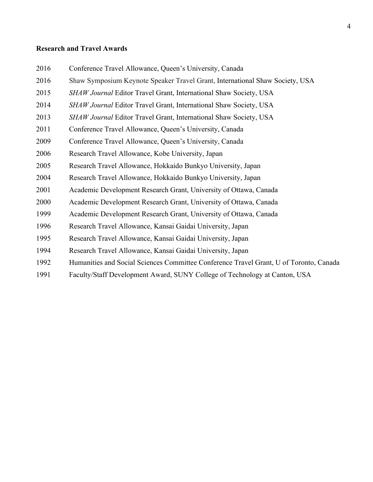## **Research and Travel Awards**

- Conference Travel Allowance, Queen's University, Canada
- Shaw Symposium Keynote Speaker Travel Grant, International Shaw Society, USA
- *SHAW Journal* Editor Travel Grant, International Shaw Society, USA
- *SHAW Journal* Editor Travel Grant, International Shaw Society, USA
- *SHAW Journal Editor Travel Grant, International Shaw Society, USA*
- Conference Travel Allowance, Queen's University, Canada
- Conference Travel Allowance, Queen's University, Canada
- Research Travel Allowance, Kobe University, Japan
- Research Travel Allowance, Hokkaido Bunkyo University, Japan
- Research Travel Allowance, Hokkaido Bunkyo University, Japan
- Academic Development Research Grant, University of Ottawa, Canada
- Academic Development Research Grant, University of Ottawa, Canada
- Academic Development Research Grant, University of Ottawa, Canada
- Research Travel Allowance, Kansai Gaidai University, Japan
- Research Travel Allowance, Kansai Gaidai University, Japan
- Research Travel Allowance, Kansai Gaidai University, Japan
- Humanities and Social Sciences Committee Conference Travel Grant, U of Toronto, Canada
- Faculty/Staff Development Award, SUNY College of Technology at Canton, USA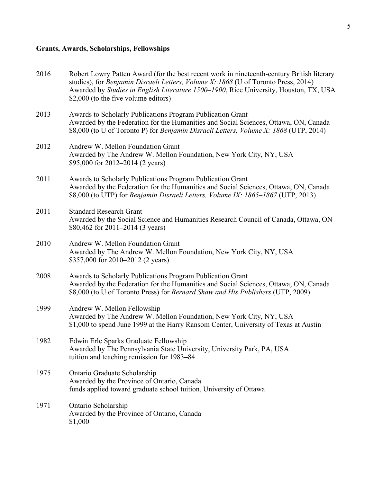# **Grants, Awards, Scholarships, Fellowships**

| 2016 | Robert Lowry Patten Award (for the best recent work in nineteenth-century British literary<br>studies), for Benjamin Disraeli Letters, Volume X: 1868 (U of Toronto Press, 2014)<br>Awarded by Studies in English Literature 1500-1900, Rice University, Houston, TX, USA<br>\$2,000 (to the five volume editors) |
|------|-------------------------------------------------------------------------------------------------------------------------------------------------------------------------------------------------------------------------------------------------------------------------------------------------------------------|
| 2013 | Awards to Scholarly Publications Program Publication Grant<br>Awarded by the Federation for the Humanities and Social Sciences, Ottawa, ON, Canada<br>\$8,000 (to U of Toronto P) for Benjamin Disraeli Letters, Volume X: 1868 (UTP, 2014)                                                                       |
| 2012 | Andrew W. Mellon Foundation Grant<br>Awarded by The Andrew W. Mellon Foundation, New York City, NY, USA<br>\$95,000 for 2012–2014 (2 years)                                                                                                                                                                       |
| 2011 | Awards to Scholarly Publications Program Publication Grant<br>Awarded by the Federation for the Humanities and Social Sciences, Ottawa, ON, Canada<br>\$8,000 (to UTP) for Benjamin Disraeli Letters, Volume IX: 1865-1867 (UTP, 2013)                                                                            |
| 2011 | <b>Standard Research Grant</b><br>Awarded by the Social Science and Humanities Research Council of Canada, Ottawa, ON<br>\$80,462 for 2011–2014 (3 years)                                                                                                                                                         |
| 2010 | Andrew W. Mellon Foundation Grant<br>Awarded by The Andrew W. Mellon Foundation, New York City, NY, USA<br>\$357,000 for 2010–2012 (2 years)                                                                                                                                                                      |
| 2008 | Awards to Scholarly Publications Program Publication Grant<br>Awarded by the Federation for the Humanities and Social Sciences, Ottawa, ON, Canada<br>\$8,000 (to U of Toronto Press) for Bernard Shaw and His Publishers (UTP, 2009)                                                                             |
| 1999 | Andrew W. Mellon Fellowship<br>Awarded by The Andrew W. Mellon Foundation, New York City, NY, USA<br>\$1,000 to spend June 1999 at the Harry Ransom Center, University of Texas at Austin                                                                                                                         |
| 1982 | Edwin Erle Sparks Graduate Fellowship<br>Awarded by The Pennsylvania State University, University Park, PA, USA<br>tuition and teaching remission for 1983–84                                                                                                                                                     |
| 1975 | Ontario Graduate Scholarship<br>Awarded by the Province of Ontario, Canada<br>funds applied toward graduate school tuition, University of Ottawa                                                                                                                                                                  |
| 1971 | Ontario Scholarship<br>Awarded by the Province of Ontario, Canada<br>\$1,000                                                                                                                                                                                                                                      |
|      |                                                                                                                                                                                                                                                                                                                   |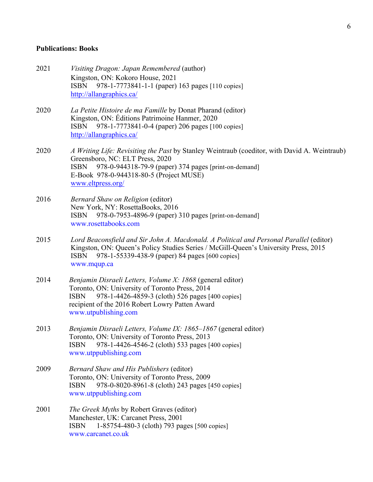### **Publications: Books**

- 2021 *Visiting Dragon: Japan Remembered* (author) Kingston, ON: Kokoro House, 2021 ISBN 978-1-7773841-1-1 (paper) 163 pages [110 copies] http://allangraphics.ca/
- 2020 *La Petite Histoire de ma Famille* by Donat Pharand (editor) Kingston, ON: Éditions Patrimoine Hanmer, 2020 ISBN 978-1-7773841-0-4 (paper) 206 pages [100 copies] http://allangraphics.ca/
- 2020 *A Writing Life: Revisiting the Past* by Stanley Weintraub (coeditor, with David A. Weintraub) Greensboro, NC: ELT Press, 2020 ISBN 978-0-944318-79-9 (paper) 374 pages [print-on-demand] E-Book 978-0-944318-80-5 (Project MUSE) www.eltpress.org/
- 2016 *Bernard Shaw on Religion* (editor) New York, NY: RosettaBooks, 2016 ISBN 978-0-7953-4896-9 (paper) 310 pages [print-on-demand] www.rosettabooks.com
- 2015 *Lord Beaconsfield and Sir John A. Macdonald. A Political and Personal Parallel* (editor) Kingston, ON: Queen's Policy Studies Series / McGill-Queen's University Press, 2015 ISBN 978-1-55339-438-9 (paper) 84 pages [600 copies] www.mqup.ca
- 2014 *Benjamin Disraeli Letters, Volume X: 1868* (general editor) Toronto, ON: University of Toronto Press, 2014 ISBN 978-1-4426-4859-3 (cloth) 526 pages [400 copies] recipient of the 2016 Robert Lowry Patten Award www.utpublishing.com
- 2013 *Benjamin Disraeli Letters, Volume IX: 1865*–*1867* (general editor) Toronto, ON: University of Toronto Press, 2013 ISBN 978-1-4426-4546-2 (cloth) 533 pages [400 copies] www.utppublishing.com
- 2009 *Bernard Shaw and His Publishers* (editor) Toronto, ON: University of Toronto Press, 2009 ISBN 978-0-8020-8961-8 (cloth) 243 pages [450 copies] www.utppublishing.com
- 2001 *The Greek Myths* by Robert Graves (editor) Manchester, UK: Carcanet Press, 2001 ISBN 1-85754-480-3 (cloth) 793 pages [500 copies] www.carcanet.co.uk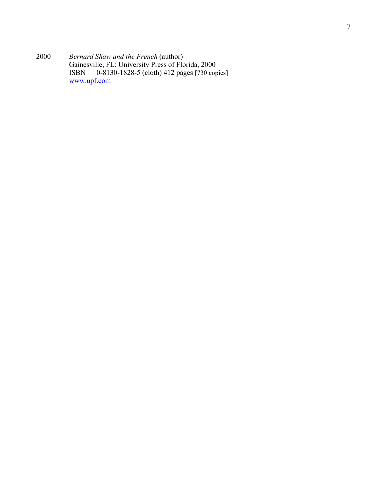2000 *Bernard Shaw and the French* (author) Gainesville, FL: University Press of Florida, 2000 ISBN 0-8130-1828-5 (cloth) 412 pages [730 copies] www.upf.com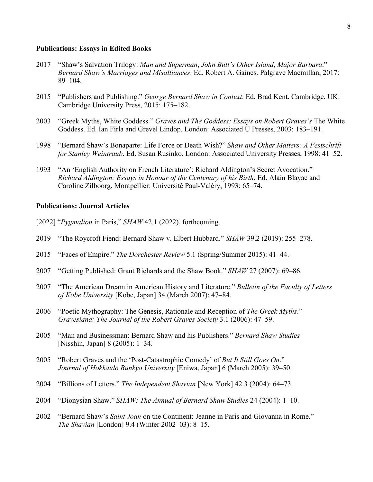#### **Publications: Essays in Edited Books**

- 2017 "Shaw's Salvation Trilogy: *Man and Superman*, *John Bull's Other Island*, *Major Barbara*." *Bernard Shaw's Marriages and Misalliances*. Ed. Robert A. Gaines. Palgrave Macmillan, 2017: 89–104.
- 2015 "Publishers and Publishing." *George Bernard Shaw in Context*. Ed. Brad Kent. Cambridge, UK: Cambridge University Press, 2015: 175–182.
- 2003 "Greek Myths, White Goddess." *Graves and The Goddess: Essays on Robert Graves's* The White Goddess. Ed. Ian Firla and Grevel Lindop. London: Associated U Presses, 2003: 183–191.
- 1998 "Bernard Shaw's Bonaparte: Life Force or Death Wish?" *Shaw and Other Matters: A Festschrift for Stanley Weintraub*. Ed. Susan Rusinko. London: Associated University Presses, 1998: 41–52.
- 1993 "An 'English Authority on French Literature': Richard Aldington's Secret Avocation." *Richard Aldington: Essays in Honour of the Centenary of his Birth*. Ed. Alain Blayac and Caroline Zilboorg. Montpellier: Université Paul-Valéry, 1993: 65–74.

### **Publications: Journal Articles**

- [2022] "*Pygmalion* in Paris," *SHAW* 42.1 (2022), forthcoming.
- 2019 "The Roycroft Fiend: Bernard Shaw v. Elbert Hubbard." *SHAW* 39.2 (2019): 255–278.
- 2015 "Faces of Empire." *The Dorchester Review* 5.1 (Spring/Summer 2015): 41–44.
- 2007 "Getting Published: Grant Richards and the Shaw Book." *SHAW* 27 (2007): 69–86.
- 2007 "The American Dream in American History and Literature." *Bulletin of the Faculty of Letters of Kobe University* [Kobe, Japan] 34 (March 2007): 47–84.
- 2006 "Poetic Mythography: The Genesis, Rationale and Reception of *The Greek Myths*." *Gravesiana: The Journal of the Robert Graves Society* 3.1 (2006): 47–59.
- 2005 "Man and Businessman: Bernard Shaw and his Publishers." *Bernard Shaw Studies* [Nisshin, Japan] 8 (2005): 1–34.
- 2005 "Robert Graves and the 'Post-Catastrophic Comedy' of *But It Still Goes On*." *Journal of Hokkaido Bunkyo University* [Eniwa, Japan] 6 (March 2005): 39–50.
- 2004 "Billions of Letters." *The Independent Shavian* [New York] 42.3 (2004): 64–73.
- 2004 "Dionysian Shaw." *SHAW: The Annual of Bernard Shaw Studies* 24 (2004): 1–10.
- 2002 "Bernard Shaw's *Saint Joan* on the Continent: Jeanne in Paris and Giovanna in Rome." *The Shavian* [London] 9.4 (Winter 2002–03): 8–15.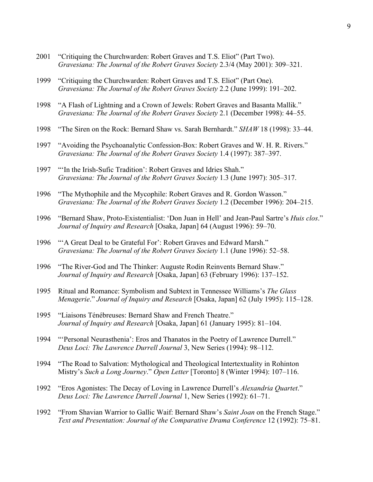- 2001 "Critiquing the Churchwarden: Robert Graves and T.S. Eliot" (Part Two). *Gravesiana: The Journal of the Robert Graves Society* 2.3/4 (May 2001): 309–321.
- 1999 "Critiquing the Churchwarden: Robert Graves and T.S. Eliot" (Part One). *Gravesiana: The Journal of the Robert Graves Society* 2.2 (June 1999): 191–202.
- 1998 "A Flash of Lightning and a Crown of Jewels: Robert Graves and Basanta Mallik." *Gravesiana: The Journal of the Robert Graves Society* 2.1 (December 1998): 44–55.
- 1998 "The Siren on the Rock: Bernard Shaw vs. Sarah Bernhardt." *SHAW* 18 (1998): 33–44.
- 1997 "Avoiding the Psychoanalytic Confession-Box: Robert Graves and W. H. R. Rivers." *Gravesiana: The Journal of the Robert Graves Society* 1.4 (1997): 387–397.
- 1997 "'In the Irish-Sufic Tradition': Robert Graves and Idries Shah." *Gravesiana: The Journal of the Robert Graves Society* 1.3 (June 1997): 305–317.
- 1996 "The Mythophile and the Mycophile: Robert Graves and R. Gordon Wasson." *Gravesiana: The Journal of the Robert Graves Society* 1.2 (December 1996): 204–215.
- 1996 "Bernard Shaw, Proto-Existentialist: 'Don Juan in Hell' and Jean-Paul Sartre's *Huis clos*." *Journal of Inquiry and Research* [Osaka, Japan] 64 (August 1996): 59–70.
- 1996 "'A Great Deal to be Grateful For': Robert Graves and Edward Marsh." *Gravesiana: The Journal of the Robert Graves Society* 1.1 (June 1996): 52–58.
- 1996 "The River-God and The Thinker: Auguste Rodin Reinvents Bernard Shaw." *Journal of Inquiry and Research* [Osaka, Japan] 63 (February 1996): 137–152.
- 1995 Ritual and Romance: Symbolism and Subtext in Tennessee Williams's *The Glass Menagerie*." *Journal of Inquiry and Research* [Osaka, Japan] 62 (July 1995): 115–128.
- 1995 "Liaisons Ténébreuses: Bernard Shaw and French Theatre." *Journal of Inquiry and Research* [Osaka, Japan] 61 (January 1995): 81–104.
- 1994 "'Personal Neurasthenia': Eros and Thanatos in the Poetry of Lawrence Durrell." *Deus Loci: The Lawrence Durrell Journal* 3, New Series (1994): 98–112.
- 1994 "The Road to Salvation: Mythological and Theological Intertextuality in Rohinton Mistry's *Such a Long Journey*." *Open Letter* [Toronto] 8 (Winter 1994): 107–116.
- 1992 "Eros Agonistes: The Decay of Loving in Lawrence Durrell's *Alexandria Quartet*." *Deus Loci: The Lawrence Durrell Journal* 1, New Series (1992): 61–71.
- 1992 "From Shavian Warrior to Gallic Waif: Bernard Shaw's *Saint Joan* on the French Stage." *Text and Presentation: Journal of the Comparative Drama Conference* 12 (1992): 75–81.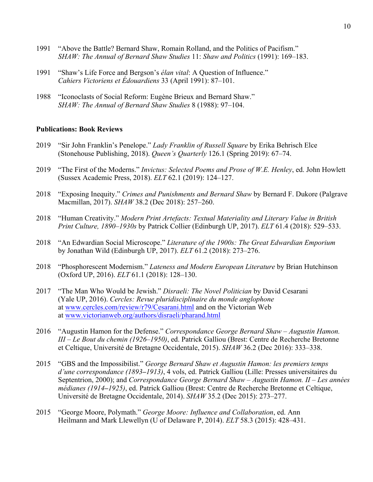- 1991 "Above the Battle? Bernard Shaw, Romain Rolland, and the Politics of Pacifism." *SHAW: The Annual of Bernard Shaw Studies* 11: *Shaw and Politics* (1991): 169–183.
- 1991 "Shaw's Life Force and Bergson's *élan vital*: A Question of Influence." *Cahiers Victoriens et Édouardiens* 33 (April 1991): 87–101.
- 1988 "Iconoclasts of Social Reform: Eugène Brieux and Bernard Shaw." *SHAW: The Annual of Bernard Shaw Studies* 8 (1988): 97–104.

## **Publications: Book Reviews**

- 2019 "Sir John Franklin's Penelope." *Lady Franklin of Russell Square* by Erika Behrisch Elce (Stonehouse Publishing, 2018). *Queen's Quarterly* 126.1 (Spring 2019): 67–74.
- 2019 "The First of the Moderns." *Invictus: Selected Poems and Prose of W.E. Henley*, ed. John Howlett (Sussex Academic Press, 2018). *ELT* 62.1 (2019): 124–127.
- 2018 "Exposing Inequity." *Crimes and Punishments and Bernard Shaw* by Bernard F. Dukore (Palgrave Macmillan, 2017). *SHAW* 38.2 (Dec 2018): 257–260.
- 2018 "Human Creativity." *Modern Print Artefacts: Textual Materiality and Literary Value in British Print Culture, 1890–1930s* by Patrick Collier (Edinburgh UP, 2017). *ELT* 61.4 (2018): 529–533.
- 2018 "An Edwardian Social Microscope." *Literature of the 1900s: The Great Edwardian Emporium* by Jonathan Wild (Edinburgh UP, 2017). *ELT* 61.2 (2018): 273–276.
- 2018 "Phosphorescent Modernism." *Lateness and Modern European Literature* by Brian Hutchinson (Oxford UP, 2016). *ELT* 61.1 (2018): 128–130.
- 2017 "The Man Who Would be Jewish." *Disraeli: The Novel Politician* by David Cesarani (Yale UP, 2016). *Cercles: Revue pluridisciplinaire du monde anglophone* at www.cercles.com/review/r79/Cesarani.html and on the Victorian Web at www.victorianweb.org/authors/disraeli/pharand.html
- 2016 "Augustin Hamon for the Defense." *Correspondance George Bernard Shaw – Augustin Hamon. III – Le Bout du chemin (1926*–*1950)*, ed. Patrick Galliou (Brest: Centre de Recherche Bretonne et Celtique, Université de Bretagne Occidentale, 2015). *SHAW* 36.2 (Dec 2016): 333–338.
- 2015 "GBS and the Impossibilist." *George Bernard Shaw et Augustin Hamon: les premiers temps d'une correspondance (1893***–***1913)*, 4 vols, ed. Patrick Galliou (Lille: Presses universitaires du Septentrion, 2000); and *Correspondance George Bernard Shaw – Augustin Hamon. II – Les années médianes (1914***–***1925)*, ed. Patrick Galliou (Brest: Centre de Recherche Bretonne et Celtique, Université de Bretagne Occidentale, 2014). *SHAW* 35.2 (Dec 2015): 273–277.
- 2015 "George Moore, Polymath." *George Moore: Influence and Collaboration*, ed. Ann Heilmann and Mark Llewellyn (U of Delaware P, 2014). *ELT* 58.3 (2015): 428–431.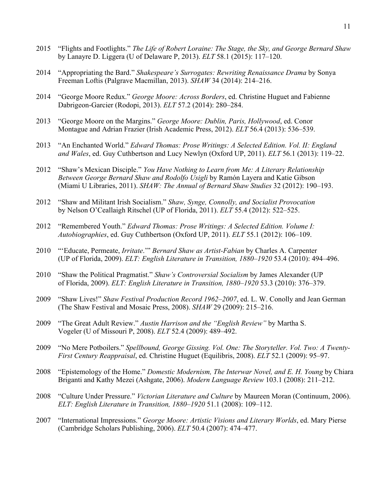- 2015 "Flights and Footlights." *The Life of Robert Loraine: The Stage, the Sky, and George Bernard Shaw* by Lanayre D. Liggera (U of Delaware P, 2013). *ELT* 58.1 (2015): 117–120.
- 2014 "Appropriating the Bard." *Shakespeare's Surrogates: Rewriting Renaissance Drama* by Sonya Freeman Loftis (Palgrave Macmillan, 2013). *SHAW* 34 (2014): 214–216.
- 2014 "George Moore Redux." *George Moore: Across Borders*, ed. Christine Huguet and Fabienne Dabrigeon-Garcier (Rodopi, 2013). *ELT* 57.2 (2014): 280–284.
- 2013 "George Moore on the Margins." *George Moore: Dublin, Paris, Hollywood*, ed. Conor Montague and Adrian Frazier (Irish Academic Press, 2012). *ELT* 56.4 (2013): 536–539.
- 2013 "An Enchanted World." *Edward Thomas: Prose Writings: A Selected Edition. Vol. II: England and Wales*, ed. Guy Cuthbertson and Lucy Newlyn (Oxford UP, 2011). *ELT* 56.1 (2013): 119–22.
- 2012 "Shaw's Mexican Disciple." *You Have Nothing to Learn from Me: A Literary Relationship Between George Bernard Shaw and Rodolfo Usigli* by Ramón Layera and Katie Gibson (Miami U Libraries, 2011). *SHAW: The Annual of Bernard Shaw Studies* 32 (2012): 190–193.
- 2012 "Shaw and Militant Irish Socialism." *Shaw, Synge, Connolly, and Socialist Provocation* by Nelson O'Ceallaigh Ritschel (UP of Florida, 2011). *ELT* 55.4 (2012): 522–525.
- 2012 "Remembered Youth." *Edward Thomas: Prose Writings: A Selected Edition. Volume I: Autobiographies*, ed. Guy Cuthbertson (Oxford UP, 2011). *ELT* 55.1 (2012): 106–109.
- 2010 "'Educate, Permeate, *Irritate*.'" *Bernard Shaw as Artist-Fabian* by Charles A. Carpenter (UP of Florida, 2009). *ELT: English Literature in Transition, 1880*–*1920* 53.4 (2010): 494–496.
- 2010 "Shaw the Political Pragmatist." *Shaw's Controversial Socialism* by James Alexander (UP of Florida, 2009). *ELT: English Literature in Transition, 1880*–*1920* 53.3 (2010): 376–379.
- 2009 "Shaw Lives!" *Shaw Festival Production Record 1962*–*2007*, ed. L. W. Conolly and Jean German (The Shaw Festival and Mosaic Press, 2008). *SHAW* 29 (2009): 215–216.
- 2009 "The Great Adult Review." *Austin Harrison and the "English Review"* by Martha S. Vogeler (U of Missouri P, 2008). *ELT* 52.4 (2009): 489–492.
- 2009 "No Mere Potboilers." *Spellbound, George Gissing. Vol. One: The Storyteller. Vol. Two: A Twenty-First Century Reappraisal*, ed. Christine Huguet (Equilibris, 2008). *ELT* 52.1 (2009): 95–97.
- 2008 "Epistemology of the Home." *Domestic Modernism, The Interwar Novel, and E. H. Young* by Chiara Briganti and Kathy Mezei (Ashgate, 2006). *Modern Language Review* 103.1 (2008): 211–212.
- 2008 "Culture Under Pressure." *Victorian Literature and Culture* by Maureen Moran (Continuum, 2006). *ELT: English Literature in Transition, 1880*–*1920* 51.1 (2008): 109–112.
- 2007 "International Impressions." *George Moore: Artistic Visions and Literary Worlds*, ed. Mary Pierse (Cambridge Scholars Publishing, 2006). *ELT* 50.4 (2007): 474–477.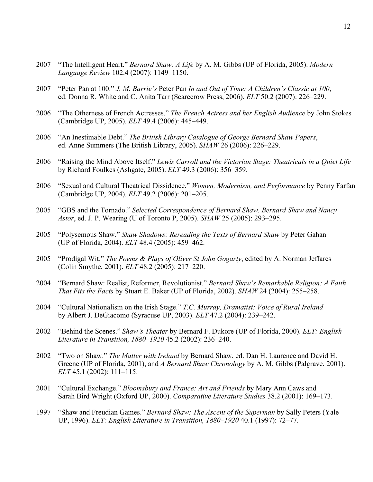- 2007 "The Intelligent Heart." *Bernard Shaw: A Life* by A. M. Gibbs (UP of Florida, 2005). *Modern Language Review* 102.4 (2007): 1149–1150.
- 2007 "Peter Pan at 100." *J. M. Barrie's* Peter Pan *In and Out of Time: A Children's Classic at 100*, ed. Donna R. White and C. Anita Tarr (Scarecrow Press, 2006). *ELT* 50.2 (2007): 226–229.
- 2006 "The Otherness of French Actresses." *The French Actress and her English Audience* by John Stokes (Cambridge UP, 2005). *ELT* 49.4 (2006): 445–449.
- 2006 "An Inestimable Debt." *The British Library Catalogue of George Bernard Shaw Papers*, ed. Anne Summers (The British Library, 2005). *SHAW* 26 (2006): 226–229.
- 2006 "Raising the Mind Above Itself." *Lewis Carroll and the Victorian Stage: Theatricals in a Quiet Life* by Richard Foulkes (Ashgate, 2005). *ELT* 49.3 (2006): 356–359.
- 2006 "Sexual and Cultural Theatrical Dissidence." *Women, Modernism, and Performance* by Penny Farfan (Cambridge UP, 2004). *ELT* 49.2 (2006): 201–205.
- 2005 "GBS and the Tornado." *Selected Correspondence of Bernard Shaw. Bernard Shaw and Nancy Astor*, ed. J. P. Wearing (U of Toronto P, 2005). *SHAW* 25 (2005): 293–295.
- 2005 "Polysemous Shaw." *Shaw Shadows: Rereading the Texts of Bernard Shaw* by Peter Gahan (UP of Florida, 2004). *ELT* 48.4 (2005): 459–462.
- 2005 "Prodigal Wit." *The Poems & Plays of Oliver St John Gogarty*, edited by A. Norman Jeffares (Colin Smythe, 2001). *ELT* 48.2 (2005): 217–220.
- 2004 "Bernard Shaw: Realist, Reformer, Revolutionist." *Bernard Shaw's Remarkable Religion: A Faith That Fits the Facts* by Stuart E. Baker (UP of Florida, 2002). *SHAW* 24 (2004): 255–258.
- 2004 "Cultural Nationalism on the Irish Stage." *T.C. Murray, Dramatist: Voice of Rural Ireland* by Albert J. DeGiacomo (Syracuse UP, 2003). *ELT* 47.2 (2004): 239–242.
- 2002 "Behind the Scenes." *Shaw's Theater* by Bernard F. Dukore (UP of Florida, 2000). *ELT: English Literature in Transition, 1880*–*1920* 45.2 (2002): 236–240.
- 2002 "Two on Shaw." *The Matter with Ireland* by Bernard Shaw, ed. Dan H. Laurence and David H. Greene (UP of Florida, 2001), and *A Bernard Shaw Chronology* by A. M. Gibbs (Palgrave, 2001). *ELT* 45.1 (2002): 111–115.
- 2001 "Cultural Exchange." *Bloomsbury and France: Art and Friends* by Mary Ann Caws and Sarah Bird Wright (Oxford UP, 2000). *Comparative Literature Studies* 38.2 (2001): 169–173.
- 1997 "Shaw and Freudian Games." *Bernard Shaw: The Ascent of the Superman* by Sally Peters (Yale UP, 1996). *ELT: English Literature in Transition, 1880*–*1920* 40.1 (1997): 72–77.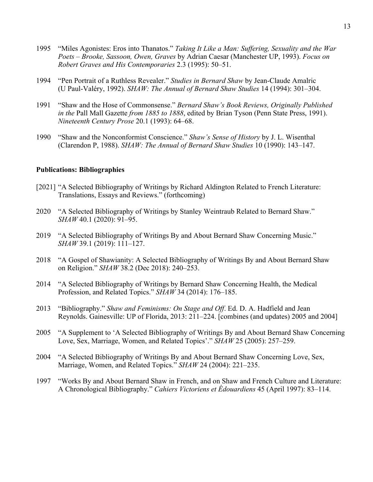- 1995 "Miles Agonistes: Eros into Thanatos." *Taking It Like a Man: Suffering, Sexuality and the War Poets – Brooke, Sassoon, Owen, Graves* by Adrian Caesar (Manchester UP, 1993). *Focus on Robert Graves and His Contemporaries* 2.3 (1995): 50–51.
- 1994 "Pen Portrait of a Ruthless Revealer." *Studies in Bernard Shaw* by Jean-Claude Amalric (U Paul-Valéry, 1992). *SHAW: The Annual of Bernard Shaw Studies* 14 (1994): 301–304.
- 1991 "Shaw and the Hose of Commonsense." *Bernard Shaw's Book Reviews, Originally Published in the* Pall Mall Gazette *from 1885 to 1888*, edited by Brian Tyson (Penn State Press, 1991). *Nineteenth Century Prose* 20.1 (1993): 64–68.
- 1990 "Shaw and the Nonconformist Conscience." *Shaw's Sense of History* by J. L. Wisenthal (Clarendon P, 1988). *SHAW: The Annual of Bernard Shaw Studies* 10 (1990): 143–147.

## **Publications: Bibliographies**

- [2021] "A Selected Bibliography of Writings by Richard Aldington Related to French Literature: Translations, Essays and Reviews." (forthcoming)
- 2020 "A Selected Bibliography of Writings by Stanley Weintraub Related to Bernard Shaw." *SHAW* 40.1 (2020): 91–95.
- 2019 "A Selected Bibliography of Writings By and About Bernard Shaw Concerning Music." *SHAW* 39.1 (2019): 111–127.
- 2018 "A Gospel of Shawianity: A Selected Bibliography of Writings By and About Bernard Shaw on Religion." *SHAW* 38.2 (Dec 2018): 240–253.
- 2014 "A Selected Bibliography of Writings by Bernard Shaw Concerning Health, the Medical Profession, and Related Topics." *SHAW* 34 (2014): 176–185.
- 2013 "Bibliography." *Shaw and Feminisms: On Stage and Off*. Ed. D. A. Hadfield and Jean Reynolds. Gainesville: UP of Florida, 2013: 211–224. [combines (and updates) 2005 and 2004]
- 2005 "A Supplement to 'A Selected Bibliography of Writings By and About Bernard Shaw Concerning Love, Sex, Marriage, Women, and Related Topics'." *SHAW* 25 (2005): 257–259.
- 2004 "A Selected Bibliography of Writings By and About Bernard Shaw Concerning Love, Sex, Marriage, Women, and Related Topics." *SHAW* 24 (2004): 221–235.
- 1997 "Works By and About Bernard Shaw in French, and on Shaw and French Culture and Literature: A Chronological Bibliography." *Cahiers Victoriens et Édouardiens* 45 (April 1997): 83–114.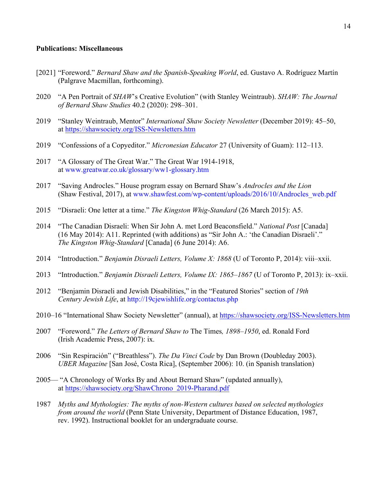## **Publications: Miscellaneous**

- [2021] "Foreword." *Bernard Shaw and the Spanish-Speaking World*, ed. Gustavo A. Rodríguez Martín (Palgrave Macmillan, forthcoming).
- 2020 "A Pen Portrait of *SHAW*'s Creative Evolution" (with Stanley Weintraub). *SHAW: The Journal of Bernard Shaw Studies* 40.2 (2020): 298–301.
- 2019 "Stanley Weintraub, Mentor" *International Shaw Society Newsletter* (December 2019): 45–50, at https://shawsociety.org/ISS-Newsletters.htm
- 2019 "Confessions of a Copyeditor." *Micronesian Educator* 27 (University of Guam): 112–113.
- 2017 "A Glossary of The Great War." The Great War 1914-1918, at www.greatwar.co.uk/glossary/ww1-glossary.htm
- 2017 "Saving Androcles." House program essay on Bernard Shaw's *Androcles and the Lion* (Shaw Festival, 2017), at www.shawfest.com/wp-content/uploads/2016/10/Androcles\_web.pdf
- 2015 "Disraeli: One letter at a time." *The Kingston Whig-Standard* (26 March 2015): A5.
- 2014 "The Canadian Disraeli: When Sir John A. met Lord Beaconsfield." *National Post* [Canada] (16 May 2014): A11. Reprinted (with additions) as "Sir John A.: 'the Canadian Disraeli'." *The Kingston Whig-Standard* [Canada] (6 June 2014): A6.
- 2014 "Introduction." *Benjamin Disraeli Letters, Volume X: 1868* (U of Toronto P, 2014): viii–xxii.
- 2013 "Introduction." *Benjamin Disraeli Letters, Volume IX: 1865*–*1867* (U of Toronto P, 2013): ix–xxii.
- 2012 "Benjamin Disraeli and Jewish Disabilities," in the "Featured Stories" section of *19th Century Jewish Life*, at http://19cjewishlife.org/contactus.php
- 2010–16 "International Shaw Society Newsletter" (annual), at https://shawsociety.org/ISS-Newsletters.htm
- 2007 "Foreword." *The Letters of Bernard Shaw to* The Times*, 1898*–*1950*, ed. Ronald Ford (Irish Academic Press, 2007): ix.
- 2006 "Sin Respiración" ("Breathless"). *The Da Vinci Code* by Dan Brown (Doubleday 2003). *UBER Magazine* [San José, Costa Rica], (September 2006): 10. (in Spanish translation)
- 2005— "A Chronology of Works By and About Bernard Shaw" (updated annually), at https://shawsociety.org/ShawChrono\_2019-Pharand.pdf
- 1987 *Myths and Mythologies: The myths of non-Western cultures based on selected mythologies from around the world* (Penn State University, Department of Distance Education, 1987, rev. 1992). Instructional booklet for an undergraduate course.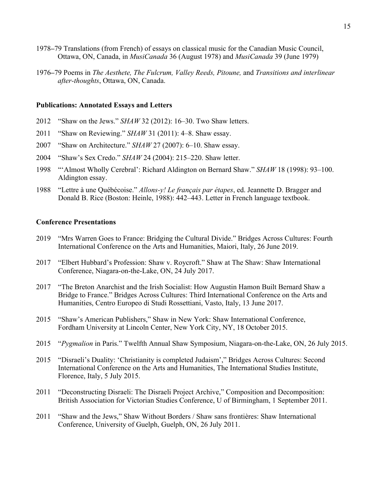- 1978**–**79 Translations (from French) of essays on classical music for the Canadian Music Council, Ottawa, ON, Canada, in *MusiCanada* 36 (August 1978) and *MusiCanada* 39 (June 1979)
- 1976**–**79 Poems in *The Aesthete, The Fulcrum, Valley Reeds, Pitoune,* and *Transitions and interlinear after-thoughts*, Ottawa, ON, Canada.

## **Publications: Annotated Essays and Letters**

- 2012 "Shaw on the Jews." *SHAW* 32 (2012): 16–30. Two Shaw letters.
- 2011 "Shaw on Reviewing." *SHAW* 31 (2011): 4–8. Shaw essay.
- 2007 "Shaw on Architecture." *SHAW* 27 (2007): 6–10. Shaw essay.
- 2004 "Shaw's Sex Credo." *SHAW* 24 (2004): 215–220. Shaw letter.
- 1998 "'Almost Wholly Cerebral': Richard Aldington on Bernard Shaw." *SHAW* 18 (1998): 93–100. Aldington essay.
- 1988 "Lettre à une Québécoise." *Allons-y! Le français par étapes*, ed. Jeannette D. Bragger and Donald B. Rice (Boston: Heinle, 1988): 442–443. Letter in French language textbook.

### **Conference Presentations**

- 2019 "Mrs Warren Goes to France: Bridging the Cultural Divide." Bridges Across Cultures: Fourth International Conference on the Arts and Humanities, Maiori, Italy, 26 June 2019.
- 2017 "Elbert Hubbard's Profession: Shaw v. Roycroft." Shaw at The Shaw: Shaw International Conference, Niagara-on-the-Lake, ON, 24 July 2017.
- 2017 "The Breton Anarchist and the Irish Socialist: How Augustin Hamon Built Bernard Shaw a Bridge to France." Bridges Across Cultures: Third International Conference on the Arts and Humanities, Centro Europeo di Studi Rossettiani, Vasto, Italy, 13 June 2017.
- 2015 "Shaw's American Publishers," Shaw in New York: Shaw International Conference, Fordham University at Lincoln Center, New York City, NY, 18 October 2015.
- 2015 "*Pygmalion* in Paris." Twelfth Annual Shaw Symposium, Niagara-on-the-Lake, ON, 26 July 2015.
- 2015 "Disraeli's Duality: 'Christianity is completed Judaism'," Bridges Across Cultures: Second International Conference on the Arts and Humanities, The International Studies Institute, Florence, Italy, 5 July 2015.
- 2011 "Deconstructing Disraeli: The Disraeli Project Archive," Composition and Decomposition: British Association for Victorian Studies Conference, U of Birmingham, 1 September 2011.
- 2011 "Shaw and the Jews," Shaw Without Borders / Shaw sans frontières: Shaw International Conference, University of Guelph, Guelph, ON, 26 July 2011.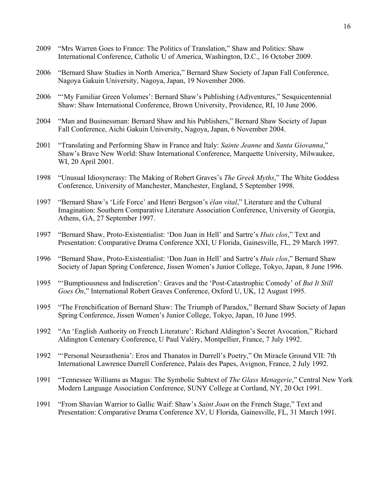- 2009 "Mrs Warren Goes to France: The Politics of Translation," Shaw and Politics: Shaw International Conference, Catholic U of America, Washington, D.C., 16 October 2009.
- 2006 "Bernard Shaw Studies in North America," Bernard Shaw Society of Japan Fall Conference, Nagoya Gakuin University, Nagoya, Japan, 19 November 2006.
- 2006 "'My Familiar Green Volumes': Bernard Shaw's Publishing (Ad)ventures," Sesquicentennial Shaw: Shaw International Conference, Brown University, Providence, RI, 10 June 2006.
- 2004 "Man and Businessman: Bernard Shaw and his Publishers," Bernard Shaw Society of Japan Fall Conference, Aichi Gakuin University, Nagoya, Japan, 6 November 2004.
- 2001 "Translating and Performing Shaw in France and Italy: *Sainte Jeanne* and *Santa Giovanna*," Shaw's Brave New World: Shaw International Conference, Marquette University, Milwaukee, WI, 20 April 2001.
- 1998 "Unusual Idiosyncrasy: The Making of Robert Graves's *The Greek Myths*," The White Goddess Conference, University of Manchester, Manchester, England, 5 September 1998.
- 1997 "Bernard Shaw's 'Life Force' and Henri Bergson's *élan vital*," Literature and the Cultural Imagination: Southern Comparative Literature Association Conference, University of Georgia, Athens, GA, 27 September 1997.
- 1997 "Bernard Shaw, Proto-Existentialist: 'Don Juan in Hell' and Sartre's *Huis clos*," Text and Presentation: Comparative Drama Conference XXI, U Florida, Gainesville, FL, 29 March 1997.
- 1996 "Bernard Shaw, Proto-Existentialist: 'Don Juan in Hell' and Sartre's *Huis clos*," Bernard Shaw Society of Japan Spring Conference, Jissen Women's Junior College, Tokyo, Japan, 8 June 1996.
- 1995 "'Bumptiousness and Indiscretion': Graves and the 'Post-Catastrophic Comedy' of *But It Still Goes On*," International Robert Graves Conference, Oxford U, UK, 12 August 1995.
- 1995 "The Frenchification of Bernard Shaw: The Triumph of Paradox," Bernard Shaw Society of Japan Spring Conference, Jissen Women's Junior College, Tokyo, Japan, 10 June 1995.
- 1992 "An 'English Authority on French Literature': Richard Aldington's Secret Avocation," Richard Aldington Centenary Conference, U Paul Valéry, Montpellier, France, 7 July 1992.
- 1992 "'Personal Neurasthenia': Eros and Thanatos in Durrell's Poetry," On Miracle Ground VII: 7th International Lawrence Durrell Conference, Palais des Papes, Avignon, France, 2 July 1992.
- 1991 "Tennessee Williams as Magus: The Symbolic Subtext of *The Glass Menagerie*," Central New York Modern Language Association Conference, SUNY College at Cortland, NY, 20 Oct 1991.
- 1991 "From Shavian Warrior to Gallic Waif: Shaw's *Saint Joan* on the French Stage," Text and Presentation: Comparative Drama Conference XV, U Florida, Gainesville, FL, 31 March 1991.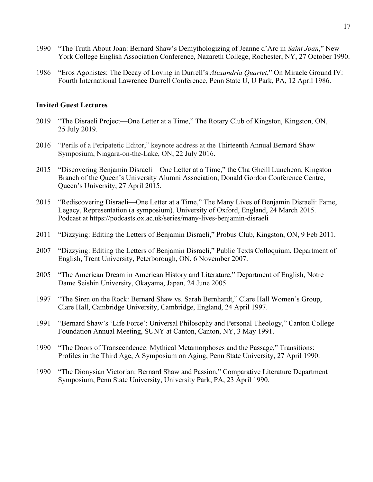- 1990 "The Truth About Joan: Bernard Shaw's Demythologizing of Jeanne d'Arc in *Saint Joan*," New York College English Association Conference, Nazareth College, Rochester, NY, 27 October 1990.
- 1986 "Eros Agonistes: The Decay of Loving in Durrell's *Alexandria Quartet*," On Miracle Ground IV: Fourth International Lawrence Durrell Conference, Penn State U, U Park, PA, 12 April 1986.

## **Invited Guest Lectures**

- 2019 "The Disraeli Project—One Letter at a Time," The Rotary Club of Kingston, Kingston, ON, 25 July 2019.
- 2016 "Perils of a Peripatetic Editor," keynote address at the Thirteenth Annual Bernard Shaw Symposium, Niagara-on-the-Lake, ON, 22 July 2016.
- 2015 "Discovering Benjamin Disraeli—One Letter at a Time," the Cha Gheill Luncheon, Kingston Branch of the Queen's University Alumni Association, Donald Gordon Conference Centre, Queen's University, 27 April 2015.
- 2015 "Rediscovering Disraeli—One Letter at a Time," The Many Lives of Benjamin Disraeli: Fame, Legacy, Representation (a symposium), University of Oxford, England, 24 March 2015. Podcast at https://podcasts.ox.ac.uk/series/many-lives-benjamin-disraeli
- 2011 "Dizzying: Editing the Letters of Benjamin Disraeli," Probus Club, Kingston, ON, 9 Feb 2011.
- 2007 "Dizzying: Editing the Letters of Benjamin Disraeli," Public Texts Colloquium, Department of English, Trent University, Peterborough, ON, 6 November 2007.
- 2005 "The American Dream in American History and Literature," Department of English, Notre Dame Seishin University, Okayama, Japan, 24 June 2005.
- 1997 "The Siren on the Rock: Bernard Shaw vs. Sarah Bernhardt," Clare Hall Women's Group, Clare Hall, Cambridge University, Cambridge, England, 24 April 1997.
- 1991 "Bernard Shaw's 'Life Force': Universal Philosophy and Personal Theology," Canton College Foundation Annual Meeting, SUNY at Canton, Canton, NY, 3 May 1991.
- 1990 "The Doors of Transcendence: Mythical Metamorphoses and the Passage," Transitions: Profiles in the Third Age, A Symposium on Aging, Penn State University, 27 April 1990.
- 1990 "The Dionysian Victorian: Bernard Shaw and Passion," Comparative Literature Department Symposium, Penn State University, University Park, PA, 23 April 1990.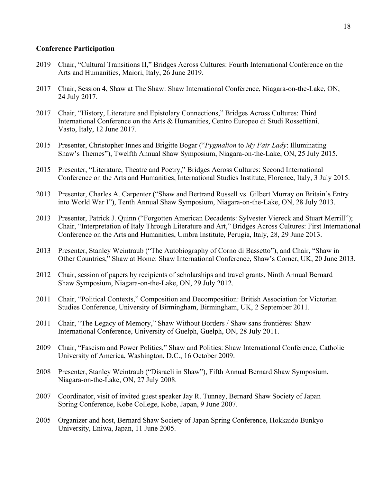## **Conference Participation**

- 2019 Chair, "Cultural Transitions II," Bridges Across Cultures: Fourth International Conference on the Arts and Humanities, Maiori, Italy, 26 June 2019.
- 2017 Chair, Session 4, Shaw at The Shaw: Shaw International Conference, Niagara-on-the-Lake, ON, 24 July 2017.
- 2017 Chair, "History, Literature and Epistolary Connections," Bridges Across Cultures: Third International Conference on the Arts & Humanities, Centro Europeo di Studi Rossettiani, Vasto, Italy, 12 June 2017.
- 2015 Presenter, Christopher Innes and Brigitte Bogar ("*Pygmalion* to *My Fair Lady*: Illuminating Shaw's Themes"), Twelfth Annual Shaw Symposium, Niagara-on-the-Lake, ON, 25 July 2015.
- 2015 Presenter, "Literature, Theatre and Poetry," Bridges Across Cultures: Second International Conference on the Arts and Humanities, International Studies Institute, Florence, Italy, 3 July 2015.
- 2013 Presenter, Charles A. Carpenter ("Shaw and Bertrand Russell vs. Gilbert Murray on Britain's Entry into World War I"), Tenth Annual Shaw Symposium, Niagara-on-the-Lake, ON, 28 July 2013.
- 2013 Presenter, Patrick J. Quinn ("Forgotten American Decadents: Sylvester Viereck and Stuart Merrill"); Chair, "Interpretation of Italy Through Literature and Art," Bridges Across Cultures: First International Conference on the Arts and Humanities, Umbra Institute, Perugia, Italy, 28, 29 June 2013.
- 2013 Presenter, Stanley Weintraub ("The Autobiography of Corno di Bassetto"), and Chair, "Shaw in Other Countries," Shaw at Home: Shaw International Conference, Shaw's Corner, UK, 20 June 2013.
- 2012 Chair, session of papers by recipients of scholarships and travel grants, Ninth Annual Bernard Shaw Symposium, Niagara-on-the-Lake, ON, 29 July 2012.
- 2011 Chair, "Political Contexts," Composition and Decomposition: British Association for Victorian Studies Conference, University of Birmingham, Birmingham, UK, 2 September 2011.
- 2011 Chair, "The Legacy of Memory," Shaw Without Borders / Shaw sans frontières: Shaw International Conference, University of Guelph, Guelph, ON, 28 July 2011.
- 2009 Chair, "Fascism and Power Politics," Shaw and Politics: Shaw International Conference, Catholic University of America, Washington, D.C., 16 October 2009.
- 2008 Presenter, Stanley Weintraub ("Disraeli in Shaw"), Fifth Annual Bernard Shaw Symposium, Niagara-on-the-Lake, ON, 27 July 2008.
- 2007 Coordinator, visit of invited guest speaker Jay R. Tunney, Bernard Shaw Society of Japan Spring Conference, Kobe College, Kobe, Japan, 9 June 2007.
- 2005 Organizer and host, Bernard Shaw Society of Japan Spring Conference, Hokkaido Bunkyo University, Eniwa, Japan, 11 June 2005.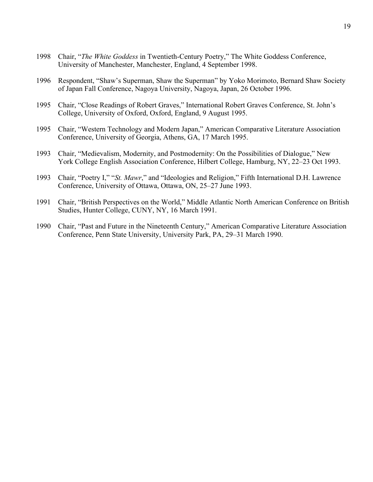- 1998 Chair, "*The White Goddess* in Twentieth-Century Poetry," The White Goddess Conference, University of Manchester, Manchester, England, 4 September 1998.
- 1996 Respondent, "Shaw's Superman, Shaw the Superman" by Yoko Morimoto, Bernard Shaw Society of Japan Fall Conference, Nagoya University, Nagoya, Japan, 26 October 1996.
- 1995 Chair, "Close Readings of Robert Graves," International Robert Graves Conference, St. John's College, University of Oxford, Oxford, England, 9 August 1995.
- 1995 Chair, "Western Technology and Modern Japan," American Comparative Literature Association Conference, University of Georgia, Athens, GA, 17 March 1995.
- 1993 Chair, "Medievalism, Modernity, and Postmodernity: On the Possibilities of Dialogue," New York College English Association Conference, Hilbert College, Hamburg, NY, 22–23 Oct 1993.
- 1993 Chair, "Poetry I," "*St. Mawr*," and "Ideologies and Religion," Fifth International D.H. Lawrence Conference, University of Ottawa, Ottawa, ON, 25–27 June 1993.
- 1991 Chair, "British Perspectives on the World," Middle Atlantic North American Conference on British Studies, Hunter College, CUNY, NY, 16 March 1991.
- 1990 Chair, "Past and Future in the Nineteenth Century," American Comparative Literature Association Conference, Penn State University, University Park, PA, 29–31 March 1990.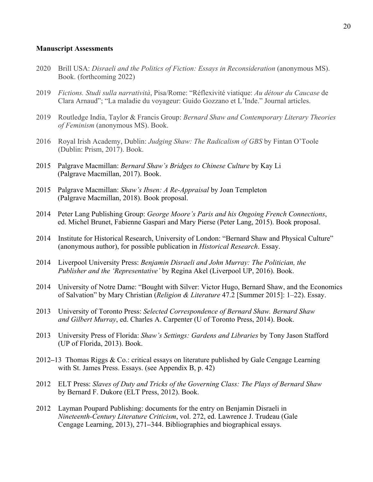#### **Manuscript Assessments**

- 2020 Brill USA: *Disraeli and the Politics of Fiction: Essays in Reconsideration* (anonymous MS). Book. (forthcoming 2022)
- 2019 *Fictions. Studi sulla narratività*, Pisa/Rome: "Réflexivité viatique: *Au détour du Caucase* de Clara Arnaud"; "La maladie du voyageur: Guido Gozzano et L'Inde." Journal articles.
- 2019 Routledge India, Taylor & Francis Group: *Bernard Shaw and Contemporary Literary Theories of Feminism* (anonymous MS). Book.
- 2016 Royal Irish Academy, Dublin: *Judging Shaw: The Radicalism of GBS* by Fintan O'Toole (Dublin: Prism, 2017). Book.
- 2015 Palgrave Macmillan: *Bernard Shaw's Bridges to Chinese Culture* by Kay Li (Palgrave Macmillan, 2017). Book.
- 2015 Palgrave Macmillan: *Shaw's Ibsen: A Re-Appraisal* by Joan Templeton (Palgrave Macmillan, 2018). Book proposal.
- 2014 Peter Lang Publishing Group: *George Moore's Paris and his Ongoing French Connections*, ed. Michel Brunet, Fabienne Gaspari and Mary Pierse (Peter Lang, 2015). Book proposal.
- 2014 Institute for Historical Research, University of London: "Bernard Shaw and Physical Culture" (anonymous author), for possible publication in *Historical Research*. Essay.
- 2014 Liverpool University Press: *Benjamin Disraeli and John Murray: The Politician, the Publisher and the 'Representative'* by Regina Akel (Liverpool UP, 2016). Book.
- 2014 University of Notre Dame: "Bought with Silver: Victor Hugo, Bernard Shaw, and the Economics of Salvation" by Mary Christian (*Religion & Literature* 47.2 [Summer 2015]: 1–22). Essay.
- 2013 University of Toronto Press: *Selected Correspondence of Bernard Shaw. Bernard Shaw and Gilbert Murray*, ed. Charles A. Carpenter (U of Toronto Press, 2014). Book.
- 2013 University Press of Florida: *Shaw's Settings: Gardens and Libraries* by Tony Jason Stafford (UP of Florida, 2013). Book.
- 2012**–**13 Thomas Riggs & Co.: critical essays on literature published by Gale Cengage Learning with St. James Press. Essays. (see Appendix B, p. 42)
- 2012 ELT Press: *Slaves of Duty and Tricks of the Governing Class: The Plays of Bernard Shaw* by Bernard F. Dukore (ELT Press, 2012). Book.
- 2012 Layman Poupard Publishing: documents for the entry on Benjamin Disraeli in *Nineteenth-Century Literature Criticism*, vol. 272, ed. Lawrence J. Trudeau (Gale Cengage Learning, 2013), 271**–**344. Bibliographies and biographical essays.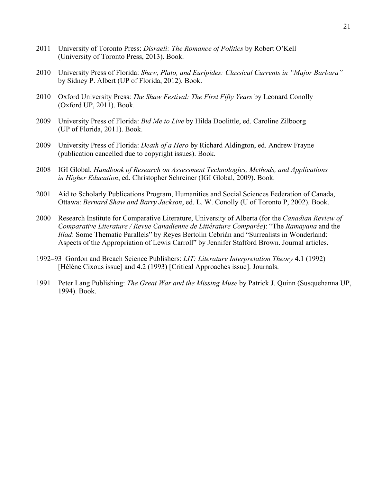- 2011 University of Toronto Press: *Disraeli: The Romance of Politics* by Robert O'Kell (University of Toronto Press, 2013). Book.
- 2010 University Press of Florida: *Shaw, Plato, and Euripides: Classical Currents in "Major Barbara"* by Sidney P. Albert (UP of Florida, 2012). Book.
- 2010 Oxford University Press: *The Shaw Festival: The First Fifty Years* by Leonard Conolly (Oxford UP, 2011). Book.
- 2009 University Press of Florida: *Bid Me to Live* by Hilda Doolittle, ed. Caroline Zilboorg (UP of Florida, 2011). Book.
- 2009 University Press of Florida: *Death of a Hero* by Richard Aldington, ed. Andrew Frayne (publication cancelled due to copyright issues). Book.
- 2008 IGI Global, *Handbook of Research on Assessment Technologies, Methods, and Applications in Higher Education*, ed. Christopher Schreiner (IGI Global, 2009). Book.
- 2001 Aid to Scholarly Publications Program, Humanities and Social Sciences Federation of Canada, Ottawa: *Bernard Shaw and Barry Jackson*, ed. L. W. Conolly (U of Toronto P, 2002). Book.
- 2000 Research Institute for Comparative Literature, University of Alberta (for the *Canadian Review of Comparative Literature / Revue Canadienne de Littérature Comparée*): "The *Ramayana* and the *Iliad*: Some Thematic Parallels" by Reyes Bertolín Cebrián and "Surrealists in Wonderland: Aspects of the Appropriation of Lewis Carroll" by Jennifer Stafford Brown. Journal articles.
- 1992**–**93 Gordon and Breach Science Publishers: *LIT: Literature Interpretation Theory* 4.1 (1992) [Hélène Cixous issue] and 4.2 (1993) [Critical Approaches issue]. Journals.
- 1991 Peter Lang Publishing: *The Great War and the Missing Muse* by Patrick J. Quinn (Susquehanna UP, 1994). Book.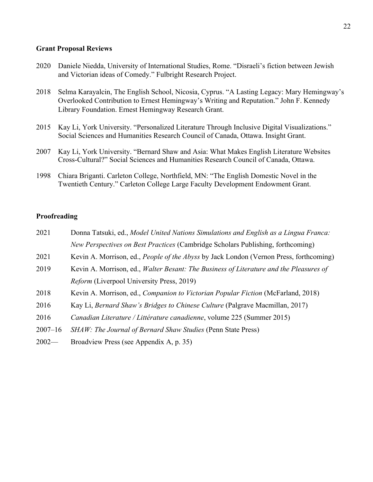## **Grant Proposal Reviews**

- 2020 Daniele Niedda, University of International Studies, Rome. "Disraeli's fiction between Jewish and Victorian ideas of Comedy." Fulbright Research Project.
- 2018 Selma Karayalcin, The English School, Nicosia, Cyprus. "A Lasting Legacy: Mary Hemingway's Overlooked Contribution to Ernest Hemingway's Writing and Reputation." John F. Kennedy Library Foundation. Ernest Hemingway Research Grant.
- 2015 Kay Li, York University. "Personalized Literature Through Inclusive Digital Visualizations." Social Sciences and Humanities Research Council of Canada, Ottawa. Insight Grant.
- 2007 Kay Li, York University. "Bernard Shaw and Asia: What Makes English Literature Websites Cross-Cultural?" Social Sciences and Humanities Research Council of Canada, Ottawa.
- 1998 Chiara Briganti. Carleton College, Northfield, MN: "The English Domestic Novel in the Twentieth Century." Carleton College Large Faculty Development Endowment Grant.

# **Proofreading**

- 2021 Donna Tatsuki, ed., *Model United Nations Simulations and English as a Lingua Franca: New Perspectives on Best Practices* (Cambridge Scholars Publishing, forthcoming)
- 2021 Kevin A. Morrison, ed., *People of the Abyss* by Jack London (Vernon Press, forthcoming)
- 2019 Kevin A. Morrison, ed., *Walter Besant: The Business of Literature and the Pleasures of Reform* (Liverpool University Press, 2019)
- 2018 Kevin A. Morrison, ed., *Companion to Victorian Popular Fiction* (McFarland, 2018)
- 2016 Kay Li, *Bernard Shaw's Bridges to Chinese Culture* (Palgrave Macmillan, 2017)
- 2016 *Canadian Literature / Littérature canadienne*, volume 225 (Summer 2015)
- 2007–16 *SHAW: The Journal of Bernard Shaw Studies* (Penn State Press)
- 2002— Broadview Press (see Appendix A, p. 35)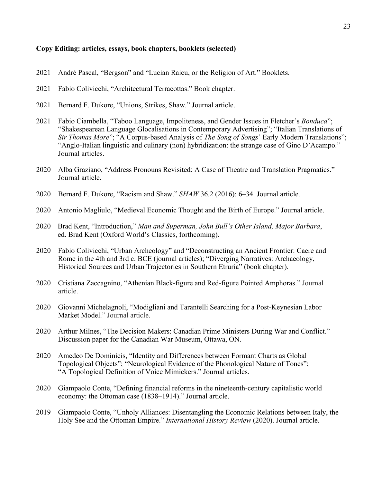## **Copy Editing: articles, essays, book chapters, booklets (selected)**

- 2021 André Pascal, "Bergson" and "Lucian Raicu, or the Religion of Art." Booklets.
- 2021 Fabio Colivicchi, "Architectural Terracottas." Book chapter.
- 2021 Bernard F. Dukore, "Unions, Strikes, Shaw." Journal article.
- 2021 Fabio Ciambella, "Taboo Language, Impoliteness, and Gender Issues in Fletcher's *Bonduca*"; "Shakespearean Language Glocalisations in Contemporary Advertising"; "Italian Translations of *Sir Thomas More*"; "A Corpus-based Analysis of *The Song of Songs*' Early Modern Translations"; "Anglo-Italian linguistic and culinary (non) hybridization: the strange case of Gino D'Acampo." Journal articles.
- 2020 Alba Graziano, "Address Pronouns Revisited: A Case of Theatre and Translation Pragmatics." Journal article.
- 2020 Bernard F. Dukore, "Racism and Shaw." *SHAW* 36.2 (2016): 6–34. Journal article.
- 2020 Antonio Magliulo, "Medieval Economic Thought and the Birth of Europe." Journal article.
- 2020 Brad Kent, "Introduction," *Man and Superman, John Bull's Other Island, Major Barbara*, ed. Brad Kent (Oxford World's Classics, forthcoming).
- 2020 Fabio Colivicchi, "Urban Archeology" and "Deconstructing an Ancient Frontier: Caere and Rome in the 4th and 3rd c. BCE (journal articles); "Diverging Narratives: Archaeology, Historical Sources and Urban Trajectories in Southern Etruria" (book chapter).
- 2020 Cristiana Zaccagnino, "Athenian Black-figure and Red-figure Pointed Amphoras." Journal article.
- 2020 Giovanni Michelagnoli, "Modigliani and Tarantelli Searching for a Post-Keynesian Labor Market Model." Journal article.
- 2020 Arthur Milnes, "The Decision Makers: Canadian Prime Ministers During War and Conflict." Discussion paper for the Canadian War Museum, Ottawa, ON.
- 2020 Amedeo De Dominicis, "Identity and Differences between Formant Charts as Global Topological Objects"; "Neurological Evidence of the Phonological Nature of Tones"; "A Topological Definition of Voice Mimickers." Journal articles.
- 2020 Giampaolo Conte, "Defining financial reforms in the nineteenth-century capitalistic world economy: the Ottoman case (1838–1914)." Journal article.
- 2019 Giampaolo Conte, "Unholy Alliances: Disentangling the Economic Relations between Italy, the Holy See and the Ottoman Empire." *International History Review* (2020). Journal article.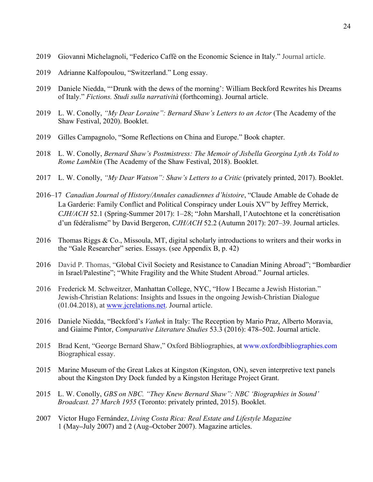- 2019 Giovanni Michelagnoli, "Federico Caffè on the Economic Science in Italy." Journal article.
- 2019 Adrianne Kalfopoulou, "Switzerland." Long essay.
- 2019 Daniele Niedda, "'Drunk with the dews of the morning': William Beckford Rewrites his Dreams of Italy." *Fictions. Studi sulla narratività* (forthcoming). Journal article.
- 2019 L. W. Conolly, *"My Dear Loraine": Bernard Shaw's Letters to an Actor* (The Academy of the Shaw Festival, 2020). Booklet.
- 2019 Gilles Campagnolo, "Some Reflections on China and Europe." Book chapter.
- 2018 L. W. Conolly, *Bernard Shaw's Postmistress: The Memoir of Jisbella Georgina Lyth As Told to Rome Lambkin* (The Academy of the Shaw Festival, 2018). Booklet.
- 2017 L. W. Conolly, *"My Dear Watson": Shaw's Letters to a Critic* (privately printed, 2017). Booklet.
- 2016–17 *Canadian Journal of History/Annales canadiennes d'histoire*, "Claude Amable de Cohade de La Garderie: Family Conflict and Political Conspiracy under Louis XV" by Jeffrey Merrick, *CJH/ACH* 52.1 (Spring-Summer 2017): 1–28; "John Marshall, l'Autochtone et la concrétisation d'un fédéralisme" by David Bergeron, *CJH/ACH* 52.2 (Autumn 2017): 207–39. Journal articles.
- 2016 Thomas Riggs & Co., Missoula, MT, digital scholarly introductions to writers and their works in the "Gale Researcher" series. Essays. (see Appendix B, p. 42)
- 2016 David P. Thomas, "Global Civil Society and Resistance to Canadian Mining Abroad"; "Bombardier in Israel/Palestine"; "White Fragility and the White Student Abroad." Journal articles.
- 2016 Frederick M. Schweitzer, Manhattan College, NYC, "How I Became a Jewish Historian." Jewish-Christian Relations: Insights and Issues in the ongoing Jewish-Christian Dialogue (01.04.2018), at www.jcrelations.net. Journal article.
- 2016 Daniele Niedda, "Beckford's *Vathek* in Italy: The Reception by Mario Praz, Alberto Moravia, and Giaime Pintor, *Comparative Literature Studies* 53.3 (2016): 478**–**502. Journal article.
- 2015 Brad Kent, "George Bernard Shaw," Oxford Bibliographies, at www.oxfordbibliographies.com Biographical essay.
- 2015 Marine Museum of the Great Lakes at Kingston (Kingston, ON), seven interpretive text panels about the Kingston Dry Dock funded by a Kingston Heritage Project Grant.
- 2015 L. W. Conolly, *GBS on NBC. "They Knew Bernard Shaw": NBC 'Biographies in Sound' Broadcast. 27 March 1955* (Toronto: privately printed, 2015). Booklet.
- 2007 Victor Hugo Fernández, *Living Costa Rica: Real Estate and Lifestyle Magazine*  1 (May**–**July 2007) and 2 (Aug**–**October 2007). Magazine articles.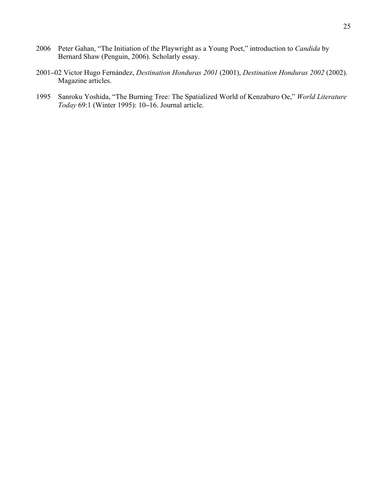- 2006 Peter Gahan, "The Initiation of the Playwright as a Young Poet," introduction to *Candida* by Bernard Shaw (Penguin, 2006). Scholarly essay.
- 2001**–**02 Victor Hugo Fernández, *Destination Honduras 2001* (2001), *Destination Honduras 2002* (2002). Magazine articles.
- 1995 Sanroku Yoshida, "The Burning Tree: The Spatialized World of Kenzaburo Oe," *World Literature Today* 69:1 (Winter 1995): 10**–**16. Journal article.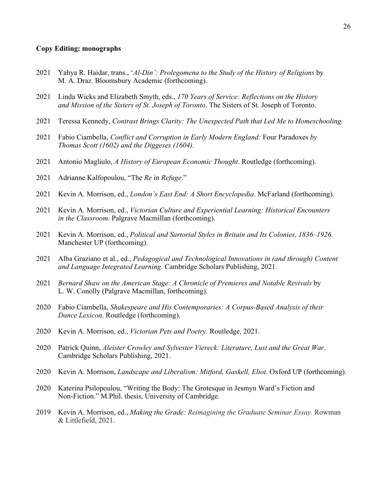## **Copy Editing: monographs**

- 2021 Yahya R. Haidar, trans., '*Al-Din': Prolegomena to the Study of the History of Religions* by M. A. Draz. Bloomsbury Academic (forthcoming).
- 2021 Linda Wicks and Elizabeth Smyth, eds., *170 Years of Service: Reflections on the History and Mission of the Sisters of St. Joseph of Toronto*. The Sisters of St. Joseph of Toronto.
- 2021 Teressa Kennedy, *Contrast Brings Clarity: The Unexpected Path that Led Me to Homeschooling.*
- 2021 Fabio Ciambella, *Conflict and Corruption in Early Modern England:* Four Paradoxes *by Thomas Scott (1602) and the Diggeses (1604).*
- 2021 Antonio Magliulo, *A History of European Economic Thought*. Routledge (forthcoming).
- 2021 Adrianne Kalfopoulou, "The *Re* in *Refuge*."
- 2021 Kevin A. Morrison, ed., *London's East End: A Short Encyclopedia*. McFarland (forthcoming).
- 2021 Kevin A. Morrison, ed., *Victorian Culture and Experiential Learning: Historical Encounters in the Classroom*. Palgrave Macmillan (forthcoming).
- 2021 Kevin A. Morrison, ed., *Political and Sartorial Styles in Britain and Its Colonies, 1836–1926.* Manchester UP (forthcoming).
- 2021 Alba Graziano et al., ed., *Pedagogical and Technological Innovations in (and through) Content and Language Integrated Learning*. Cambridge Scholars Publishing, 2021.
- 2021 *Bernard Shaw on the American Stage: A Chronicle of Premieres and Notable Revivals* by L. W. Conolly (Palgrave Macmillan, forthcoming).
- 2020 Fabio Ciambella, *Shakespeare and His Contemporaries: A Corpus-Based Analysis of their Dance Lexicon*. Routledge (forthcoming).
- 2020 Kevin A. Morrison, ed., *Victorian Pets and Poetry.* Routledge, 2021.
- 2020 Patrick Quinn, *Aleister Crowley and Sylvester Viereck: Literature, Lust and the Great War*. Cambridge Scholars Publishing, 2021.
- 2020 Kevin A. Morrison, *Landscape and Liberalism: Mitford, Gaskell, Eliot*. Oxford UP (forthcoming).
- 2020 Katerina Psilopoulou, "Writing the Body: The Grotesque in Jesmyn Ward's Fiction and Non-Fiction." M.Phil. thesis, University of Cambridge.
- 2019 Kevin A. Morrison, ed., *Making the Grade: Reimagining the Graduate Seminar Essay.* Rowman & Littlefield, 2021.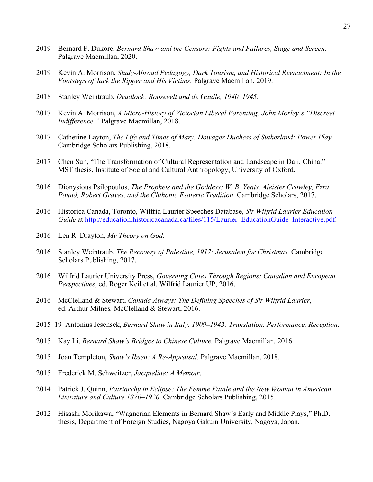- 2019 Bernard F. Dukore, *Bernard Shaw and the Censors: Fights and Failures, Stage and Screen.* Palgrave Macmillan, 2020.
- 2019 Kevin A. Morrison, *Study-Abroad Pedagogy, Dark Tourism, and Historical Reenactment: In the Footsteps of Jack the Ripper and His Victims.* Palgrave Macmillan, 2019.
- 2018 Stanley Weintraub, *Deadlock: Roosevelt and de Gaulle, 1940–1945*.
- 2017 Kevin A. Morrison, *A Micro-History of Victorian Liberal Parenting: John Morley's "Discreet Indifference."* Palgrave Macmillan, 2018.
- 2017 Catherine Layton, *The Life and Times of Mary, Dowager Duchess of Sutherland: Power Play.* Cambridge Scholars Publishing, 2018.
- 2017 Chen Sun, "The Transformation of Cultural Representation and Landscape in Dali, China." MST thesis, Institute of Social and Cultural Anthropology, University of Oxford.
- 2016 Dionysious Psilopoulos, *The Prophets and the Goddess: W. B. Yeats, Aleister Crowley, Ezra Pound, Robert Graves, and the Chthonic Esoteric Tradition*. Cambridge Scholars, 2017.
- 2016 Historica Canada, Toronto, Wilfrid Laurier Speeches Database, *Sir Wilfrid Laurier Education Guide* at http://education.historicacanada.ca/files/115/Laurier\_EducationGuide\_Interactive.pdf.
- 2016 Len R. Drayton, *My Theory on God*.
- 2016 Stanley Weintraub, *The Recovery of Palestine, 1917: Jerusalem for Christmas.* Cambridge Scholars Publishing, 2017.
- 2016 Wilfrid Laurier University Press, *Governing Cities Through Regions: Canadian and European Perspectives*, ed. Roger Keil et al. Wilfrid Laurier UP, 2016.
- 2016 McClelland & Stewart, *Canada Always: The Defining Speeches of Sir Wilfrid Laurier*, ed. Arthur Milnes*.* McClelland & Stewart, 2016.
- 2015–19 Antonius Jesensek, *Bernard Shaw in Italy, 1909***–***1943: Translation, Performance, Reception*.
- 2015 Kay Li, *Bernard Shaw's Bridges to Chinese Culture.* Palgrave Macmillan, 2016.
- 2015 Joan Templeton, *Shaw's Ibsen: A Re-Appraisal.* Palgrave Macmillan, 2018.
- 2015 Frederick M. Schweitzer, *Jacqueline: A Memoir*.
- 2014 Patrick J. Quinn, *Patriarchy in Eclipse: The Femme Fatale and the New Woman in American Literature and Culture 1870–1920*. Cambridge Scholars Publishing, 2015.
- 2012 Hisashi Morikawa, "Wagnerian Elements in Bernard Shaw's Early and Middle Plays," Ph.D. thesis, Department of Foreign Studies, Nagoya Gakuin University, Nagoya, Japan.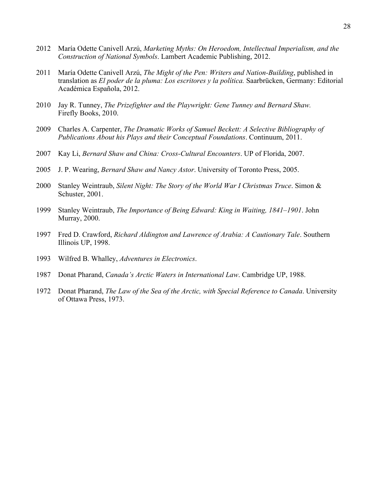- 2012 María Odette Canivell Arzú, *Marketing Myths: On Heroedom, Intellectual Imperialism, and the Construction of National Symbols*. Lambert Academic Publishing, 2012.
- 2011 María Odette Canivell Arzú, *The Might of the Pen: Writers and Nation-Building*, published in translation as *El poder de la pluma: Los escritores y la política.* Saarbrücken, Germany: Editorial Académica Española, 2012.
- 2010 Jay R. Tunney, *The Prizefighter and the Playwright: Gene Tunney and Bernard Shaw.* Firefly Books, 2010.
- 2009 Charles A. Carpenter, *The Dramatic Works of Samuel Beckett: A Selective Bibliography of Publications About his Plays and their Conceptual Foundations*. Continuum, 2011.
- 2007 Kay Li, *Bernard Shaw and China: Cross-Cultural Encounters*. UP of Florida, 2007.
- 2005 J. P. Wearing, *Bernard Shaw and Nancy Astor*. University of Toronto Press, 2005.
- 2000 Stanley Weintraub, *Silent Night: The Story of the World War I Christmas Truce*. Simon & Schuster, 2001.
- 1999 Stanley Weintraub, *The Importance of Being Edward: King in Waiting, 1841–1901*. John Murray, 2000.
- 1997 Fred D. Crawford, *Richard Aldington and Lawrence of Arabia: A Cautionary Tale*. Southern Illinois UP, 1998.
- 1993 Wilfred B. Whalley, *Adventures in Electronics*.
- 1987 Donat Pharand, *Canada's Arctic Waters in International Law*. Cambridge UP, 1988.
- 1972 Donat Pharand, *The Law of the Sea of the Arctic, with Special Reference to Canada*. University of Ottawa Press, 1973.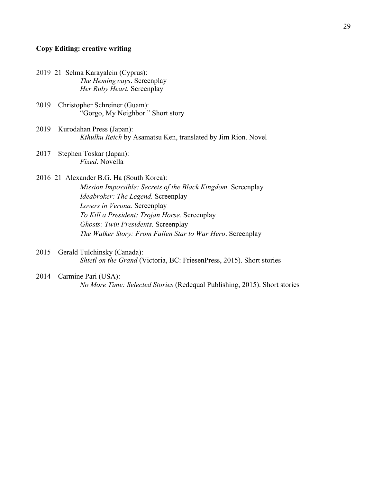## **Copy Editing: creative writing**

- 2019–21 Selma Karayalcin (Cyprus): *The Hemingways*. Screenplay *Her Ruby Heart.* Screenplay
- 2019 Christopher Schreiner (Guam): "Gorgo, My Neighbor." Short story
- 2019 Kurodahan Press (Japan): *Kthulhu Reich* by Asamatsu Ken, translated by Jim Rion. Novel
- 2017 Stephen Toskar (Japan): *Fixed*. Novella
- 2016–21 Alexander B.G. Ha (South Korea): *Mission Impossible: Secrets of the Black Kingdom.* Screenplay *Ideabroker: The Legend.* Screenplay *Lovers in Verona.* Screenplay *To Kill a President: Trojan Horse.* Screenplay *Ghosts: Twin Presidents.* Screenplay *The Walker Story: From Fallen Star to War Hero*. Screenplay
- 2015 Gerald Tulchinsky (Canada): *Shtetl on the Grand* (Victoria, BC: FriesenPress, 2015). Short stories
- 2014 Carmine Pari (USA): *No More Time: Selected Stories* (Redequal Publishing, 2015). Short stories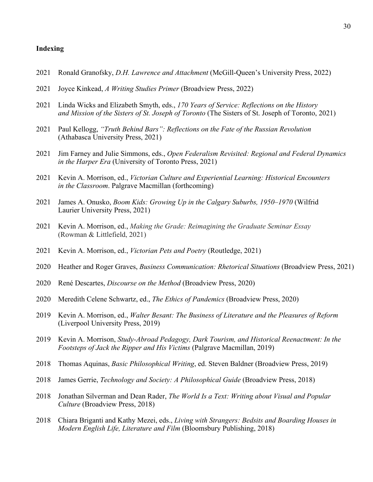## **Indexing**

- Ronald Granofsky, *D.H. Lawrence and Attachment* (McGill-Queen's University Press, 2022)
- Joyce Kinkead, *A Writing Studies Primer* (Broadview Press, 2022)
- Linda Wicks and Elizabeth Smyth, eds., *170 Years of Service: Reflections on the History and Mission of the Sisters of St. Joseph of Toronto* (The Sisters of St. Joseph of Toronto, 2021)
- Paul Kellogg, *"Truth Behind Bars": Reflections on the Fate of the Russian Revolution* (Athabasca University Press, 2021)
- Jim Farney and Julie Simmons, eds., *Open Federalism Revisited: Regional and Federal Dynamics in the Harper Era* (University of Toronto Press, 2021)
- Kevin A. Morrison, ed., *Victorian Culture and Experiential Learning: Historical Encounters in the Classroom*. Palgrave Macmillan (forthcoming)
- James A. Onusko, *Boom Kids: Growing Up in the Calgary Suburbs, 1950–1970* (Wilfrid Laurier University Press, 2021)
- Kevin A. Morrison, ed., *Making the Grade: Reimagining the Graduate Seminar Essay* (Rowman & Littlefield, 2021)
- Kevin A. Morrison, ed., *Victorian Pets and Poetry* (Routledge, 2021)
- Heather and Roger Graves, *Business Communication: Rhetorical Situations* (Broadview Press, 2021)
- René Descartes, *Discourse on the Method* (Broadview Press, 2020)
- Meredith Celene Schwartz, ed., *The Ethics of Pandemics* (Broadview Press, 2020)
- Kevin A. Morrison, ed., *Walter Besant: The Business of Literature and the Pleasures of Reform*  (Liverpool University Press, 2019)
- Kevin A. Morrison, *Study-Abroad Pedagogy, Dark Tourism, and Historical Reenactment: In the Footsteps of Jack the Ripper and His Victims* (Palgrave Macmillan, 2019)
- Thomas Aquinas, *Basic Philosophical Writing*, ed. Steven Baldner (Broadview Press, 2019)
- James Gerrie, *Technology and Society: A Philosophical Guide* (Broadview Press, 2018)
- Jonathan Silverman and Dean Rader, *The World Is a Text: Writing about Visual and Popular Culture* (Broadview Press, 2018)
- Chiara Briganti and Kathy Mezei, eds., *Living with Strangers: Bedsits and Boarding Houses in Modern English Life, Literature and Film* (Bloomsbury Publishing, 2018)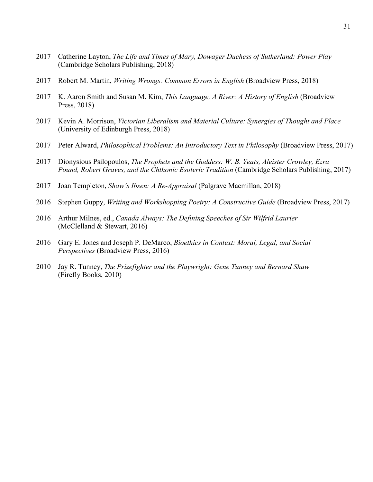- Catherine Layton, *The Life and Times of Mary, Dowager Duchess of Sutherland: Power Play* (Cambridge Scholars Publishing, 2018)
- Robert M. Martin, *Writing Wrongs: Common Errors in English* (Broadview Press, 2018)
- K. Aaron Smith and Susan M. Kim, *This Language, A River: A History of English* (Broadview Press, 2018)
- Kevin A. Morrison, *Victorian Liberalism and Material Culture: Synergies of Thought and Place* (University of Edinburgh Press, 2018)
- Peter Alward, *Philosophical Problems: An Introductory Text in Philosophy* (Broadview Press, 2017)
- Dionysious Psilopoulos, *The Prophets and the Goddess: W. B. Yeats, Aleister Crowley, Ezra Pound, Robert Graves, and the Chthonic Esoteric Tradition* (Cambridge Scholars Publishing, 2017)
- Joan Templeton, *Shaw's Ibsen: A Re-Appraisal* (Palgrave Macmillan, 2018)
- Stephen Guppy, *Writing and Workshopping Poetry: A Constructive Guide* (Broadview Press, 2017)
- Arthur Milnes, ed., *Canada Always: The Defining Speeches of Sir Wilfrid Laurier* (McClelland & Stewart, 2016)
- Gary E. Jones and Joseph P. DeMarco, *Bioethics in Context: Moral, Legal, and Social Perspectives* (Broadview Press, 2016)
- Jay R. Tunney, *The Prizefighter and the Playwright: Gene Tunney and Bernard Shaw* (Firefly Books, 2010)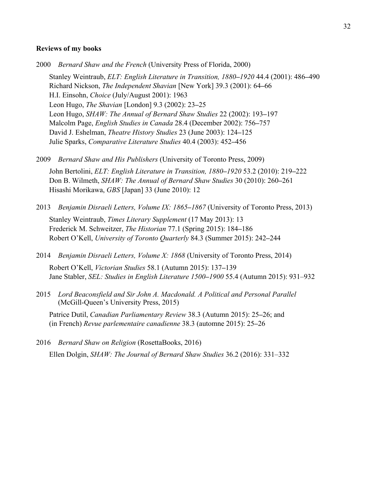#### **Reviews of my books**

2000 *Bernard Shaw and the French* (University Press of Florida, 2000)

Stanley Weintraub, *ELT: English Literature in Transition, 1880***–***1920* 44.4 (2001): 486**–**490 Richard Nickson, *The Independent Shavian* [New York] 39.3 (2001): 64**–**66 H.I. Einsohn, *Choice* (July/August 2001): 1963 Leon Hugo, *The Shavian* [London] 9.3 (2002): 23**–**25 Leon Hugo, *SHAW: The Annual of Bernard Shaw Studies* 22 (2002): 193**–**197 Malcolm Page, *English Studies in Canada* 28.4 (December 2002): 756**–**757 David J. Eshelman, *Theatre History Studies* 23 (June 2003): 124**–**125 Julie Sparks, *Comparative Literature Studies* 40.4 (2003): 452**–**456

2009 *Bernard Shaw and His Publishers* (University of Toronto Press, 2009)

John Bertolini, *ELT: English Literature in Transition, 1880***–***1920* 53.2 (2010): 219**–**222 Don B. Wilmeth, *SHAW: The Annual of Bernard Shaw Studies* 30 (2010): 260**–**261 Hisashi Morikawa, *GBS* [Japan] 33 (June 2010): 12

2013 *Benjamin Disraeli Letters, Volume IX: 1865***–***1867* (University of Toronto Press, 2013) Stanley Weintraub, *Times Literary Supplement* (17 May 2013): 13 Frederick M. Schweitzer, *The Historian* 77.1 (Spring 2015): 184**–**186 Robert O'Kell, *University of Toronto Quarterly* 84.3 (Summer 2015): 242**–**244

- 2014 *Benjamin Disraeli Letters, Volume X: 1868* (University of Toronto Press, 2014) Robert O'Kell, *Victorian Studies* 58.1 (Autumn 2015): 137**–**139 Jane Stabler, *SEL: Studies in English Literature 1500–1900* 55.4 (Autumn 2015): 931–932
- 2015 *Lord Beaconsfield and Sir John A. Macdonald. A Political and Personal Parallel* (McGill-Queen's University Press, 2015)

Patrice Dutil, *Canadian Parliamentary Review* 38.3 (Autumn 2015): 25**–**26; and (in French) *Revue parlementaire canadienne* 38.3 (automne 2015): 25**–**26

2016 *Bernard Shaw on Religion* (RosettaBooks, 2016) Ellen Dolgin, *SHAW: The Journal of Bernard Shaw Studies* 36.2 (2016): 331–332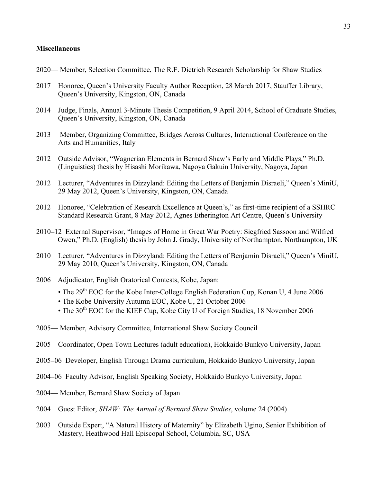## **Miscellaneous**

- 2020— Member, Selection Committee, The R.F. Dietrich Research Scholarship for Shaw Studies
- 2017 Honoree, Queen's University Faculty Author Reception, 28 March 2017, Stauffer Library, Queen's University, Kingston, ON, Canada
- 2014 Judge, Finals, Annual 3-Minute Thesis Competition, 9 April 2014, School of Graduate Studies, Queen's University, Kingston, ON, Canada
- 2013— Member, Organizing Committee, Bridges Across Cultures, International Conference on the Arts and Humanities, Italy
- 2012 Outside Advisor, "Wagnerian Elements in Bernard Shaw's Early and Middle Plays," Ph.D. (Linguistics) thesis by Hisashi Morikawa, Nagoya Gakuin University, Nagoya, Japan
- 2012 Lecturer, "Adventures in Dizzyland: Editing the Letters of Benjamin Disraeli," Queen's MiniU, 29 May 2012, Queen's University, Kingston, ON, Canada
- 2012 Honoree, "Celebration of Research Excellence at Queen's," as first-time recipient of a SSHRC Standard Research Grant, 8 May 2012, Agnes Etherington Art Centre, Queen's University
- 2010**–**12 External Supervisor, "Images of Home in Great War Poetry: Siegfried Sassoon and Wilfred Owen," Ph.D. (English) thesis by John J. Grady, University of Northampton, Northampton, UK
- 2010 Lecturer, "Adventures in Dizzyland: Editing the Letters of Benjamin Disraeli," Queen's MiniU, 29 May 2010, Queen's University, Kingston, ON, Canada
- 2006 Adjudicator, English Oratorical Contests, Kobe, Japan:
	- The  $29<sup>th</sup>$  EOC for the Kobe Inter-College English Federation Cup, Konan U, 4 June 2006
	- The Kobe University Autumn EOC, Kobe U, 21 October 2006
	- The  $30<sup>th</sup>$  EOC for the KIEF Cup, Kobe City U of Foreign Studies, 18 November 2006
- 2005— Member, Advisory Committee, International Shaw Society Council
- 2005 Coordinator, Open Town Lectures (adult education), Hokkaido Bunkyo University, Japan
- 2005**–**06 Developer, English Through Drama curriculum, Hokkaido Bunkyo University, Japan
- 2004**–**06 Faculty Advisor, English Speaking Society, Hokkaido Bunkyo University, Japan
- 2004— Member, Bernard Shaw Society of Japan
- 2004 Guest Editor, *SHAW: The Annual of Bernard Shaw Studies*, volume 24 (2004)
- 2003 Outside Expert, "A Natural History of Maternity" by Elizabeth Ugino, Senior Exhibition of Mastery, Heathwood Hall Episcopal School, Columbia, SC, USA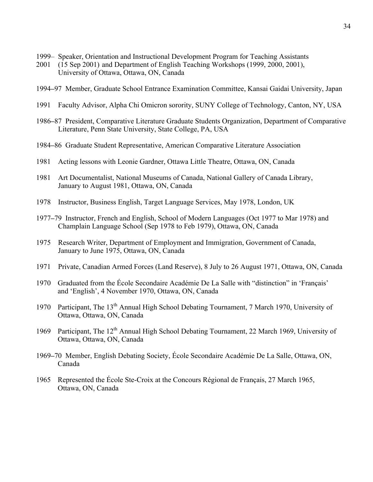- 1999– Speaker, Orientation and Instructional Development Program for Teaching Assistants
- 2001 (15 Sep 2001) and Department of English Teaching Workshops (1999, 2000, 2001), University of Ottawa, Ottawa, ON, Canada
- 1994**–**97 Member, Graduate School Entrance Examination Committee, Kansai Gaidai University, Japan
- 1991 Faculty Advisor, Alpha Chi Omicron sorority, SUNY College of Technology, Canton, NY, USA
- 1986**–**87 President, Comparative Literature Graduate Students Organization, Department of Comparative Literature, Penn State University, State College, PA, USA
- 1984**–**86 Graduate Student Representative, American Comparative Literature Association
- 1981 Acting lessons with Leonie Gardner, Ottawa Little Theatre, Ottawa, ON, Canada
- 1981 Art Documentalist, National Museums of Canada, National Gallery of Canada Library, January to August 1981, Ottawa, ON, Canada
- 1978 Instructor, Business English, Target Language Services, May 1978, London, UK
- 1977**–**79 Instructor, French and English, School of Modern Languages (Oct 1977 to Mar 1978) and Champlain Language School (Sep 1978 to Feb 1979), Ottawa, ON, Canada
- 1975 Research Writer, Department of Employment and Immigration, Government of Canada, January to June 1975, Ottawa, ON, Canada
- 1971 Private, Canadian Armed Forces (Land Reserve), 8 July to 26 August 1971, Ottawa, ON, Canada
- 1970 Graduated from the École Secondaire Académie De La Salle with "distinction" in 'Français' and 'English', 4 November 1970, Ottawa, ON, Canada
- 1970 Participant, The 13<sup>th</sup> Annual High School Debating Tournament, 7 March 1970, University of Ottawa, Ottawa, ON, Canada
- 1969 Participant, The 12<sup>th</sup> Annual High School Debating Tournament, 22 March 1969, University of Ottawa, Ottawa, ON, Canada
- 1969**–**70 Member, English Debating Society, École Secondaire Académie De La Salle, Ottawa, ON, Canada
- 1965 Represented the École Ste-Croix at the Concours Régional de Français, 27 March 1965, Ottawa, ON, Canada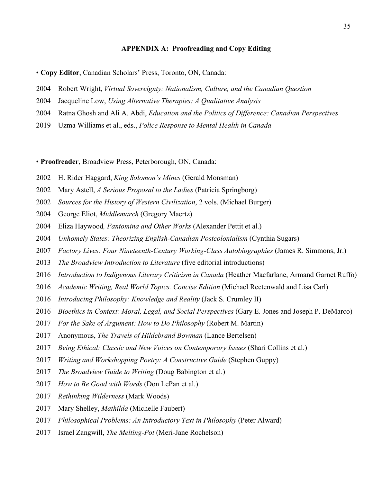## **APPENDIX A: Proofreading and Copy Editing**

• **Copy Editor**, Canadian Scholars' Press, Toronto, ON, Canada:

- Robert Wright, *Virtual Sovereignty: Nationalism, Culture, and the Canadian Question*
- Jacqueline Low, *Using Alternative Therapies: A Qualitative Analysis*
- Ratna Ghosh and Ali A. Abdi, *Education and the Politics of Difference: Canadian Perspectives*
- Uzma Williams et al., eds., *Police Response to Mental Health in Canada*

• **Proofreader**, Broadview Press, Peterborough, ON, Canada:

- H. Rider Haggard, *King Solomon's Mines* (Gerald Monsman)
- Mary Astell, *A Serious Proposal to the Ladies* (Patricia Springborg)
- *Sources for the History of Western Civilization*, 2 vols. (Michael Burger)
- George Eliot, *Middlemarch* (Gregory Maertz)
- Eliza Haywood*, Fantomina and Other Works* (Alexander Pettit et al.)
- *Unhomely States: Theorizing English-Canadian Postcolonialism* (Cynthia Sugars)
- *Factory Lives: Four Nineteenth-Century Working-Class Autobiographies* (James R. Simmons, Jr.)
- *The Broadview Introduction to Literature* (five editorial introductions)
- *Introduction to Indigenous Literary Criticism in Canada* (Heather Macfarlane, Armand Garnet Ruffo)
- *Academic Writing, Real World Topics. Concise Edition* (Michael Rectenwald and Lisa Carl)
- *Introducing Philosophy: Knowledge and Reality* (Jack S. Crumley II)
- *Bioethics in Context: Moral, Legal, and Social Perspectives* (Gary E. Jones and Joseph P. DeMarco)
- *For the Sake of Argument: How to Do Philosophy* (Robert M. Martin)
- Anonymous, *The Travels of Hildebrand Bowman* (Lance Bertelsen)
- *Being Ethical: Classic and New Voices on Contemporary Issues* (Shari Collins et al.)
- *Writing and Workshopping Poetry: A Constructive Guide* (Stephen Guppy)
- *The Broadview Guide to Writing* (Doug Babington et al.)
- *How to Be Good with Words* (Don LePan et al.)
- *Rethinking Wilderness* (Mark Woods)
- Mary Shelley, *Mathilda* (Michelle Faubert)
- *Philosophical Problems: An Introductory Text in Philosophy* (Peter Alward)
- Israel Zangwill, *The Melting-Pot* (Meri-Jane Rochelson)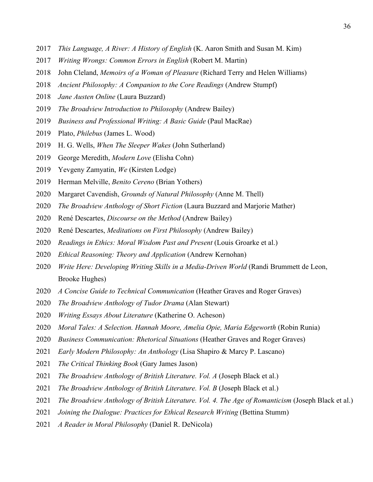- *This Language, A River: A History of English* (K. Aaron Smith and Susan M. Kim)
- *Writing Wrongs: Common Errors in English* (Robert M. Martin)
- John Cleland, *Memoirs of a Woman of Pleasure* (Richard Terry and Helen Williams)
- *Ancient Philosophy: A Companion to the Core Readings* (Andrew Stumpf)
- *Jane Austen Online* (Laura Buzzard)
- *The Broadview Introduction to Philosophy* (Andrew Bailey)
- *Business and Professional Writing: A Basic Guide* (Paul MacRae)
- Plato, *Philebus* (James L. Wood)
- H. G. Wells, *When The Sleeper Wakes* (John Sutherland)
- George Meredith, *Modern Love* (Elisha Cohn)
- Yevgeny Zamyatin, *We* (Kirsten Lodge)
- Herman Melville, *Benito Cereno* (Brian Yothers)
- Margaret Cavendish, *Grounds of Natural Philosophy* (Anne M. Thell)
- *The Broadview Anthology of Short Fiction* (Laura Buzzard and Marjorie Mather)
- René Descartes, *Discourse on the Method* (Andrew Bailey)
- René Descartes, *Meditations on First Philosophy* (Andrew Bailey)
- *Readings in Ethics: Moral Wisdom Past and Present* (Louis Groarke et al.)
- *Ethical Reasoning: Theory and Application* (Andrew Kernohan)
- *Write Here: Developing Writing Skills in a Media-Driven World* (Randi Brummett de Leon, Brooke Hughes)
- *A Concise Guide to Technical Communication* (Heather Graves and Roger Graves)
- *The Broadview Anthology of Tudor Drama* (Alan Stewart)
- *Writing Essays About Literature* (Katherine O. Acheson)
- *Moral Tales: A Selection. Hannah Moore, Amelia Opie, Maria Edgeworth* (Robin Runia)
- *Business Communication: Rhetorical Situations* (Heather Graves and Roger Graves)
- *Early Modern Philosophy: An Anthology* (Lisa Shapiro & Marcy P. Lascano)
- *The Critical Thinking Book* (Gary James Jason)
- *The Broadview Anthology of British Literature. Vol. A* (Joseph Black et al.)
- *The Broadview Anthology of British Literature. Vol. B* (Joseph Black et al.)
- *The Broadview Anthology of British Literature. Vol. 4. The Age of Romanticism* (Joseph Black et al.)
- *Joining the Dialogue: Practices for Ethical Research Writing (Bettina Stumm)*
- *A Reader in Moral Philosophy* (Daniel R. DeNicola)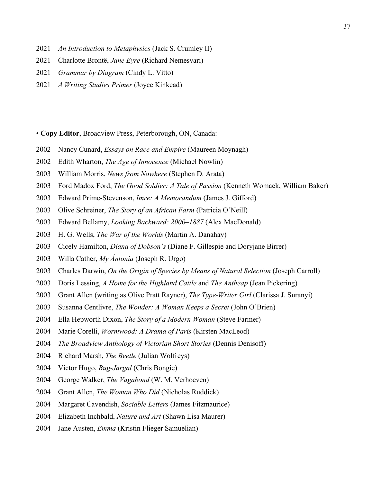- *An Introduction to Metaphysics* (Jack S. Crumley II)
- Charlotte Brontë, *Jane Eyre* (Richard Nemesvari)
- *Grammar by Diagram* (Cindy L. Vitto)
- *A Writing Studies Primer* (Joyce Kinkead)

• **Copy Editor**, Broadview Press, Peterborough, ON, Canada:

- Nancy Cunard, *Essays on Race and Empire* (Maureen Moynagh)
- Edith Wharton, *The Age of Innocence* (Michael Nowlin)
- William Morris, *News from Nowhere* (Stephen D. Arata)
- Ford Madox Ford, *The Good Soldier: A Tale of Passion* (Kenneth Womack, William Baker)
- Edward Prime-Stevenson, *Imre: A Memorandum* (James J. Gifford)
- Olive Schreiner, *The Story of an African Farm* (Patricia O'Neill)
- Edward Bellamy, *Looking Backward: 2000–1887* (Alex MacDonald)
- H. G. Wells, *The War of the Worlds* (Martin A. Danahay)
- Cicely Hamilton, *Diana of Dobson's* (Diane F. Gillespie and Doryjane Birrer)
- Willa Cather, *My Ántonia* (Joseph R. Urgo)
- Charles Darwin, *On the Origin of Species by Means of Natural Selection* (Joseph Carroll)
- Doris Lessing, *A Home for the Highland Cattle* and *The Antheap* (Jean Pickering)
- Grant Allen (writing as Olive Pratt Rayner), *The Type-Writer Girl* (Clarissa J. Suranyi)
- Susanna Centlivre, *The Wonder: A Woman Keeps a Secret* (John O'Brien)
- Ella Hepworth Dixon, *The Story of a Modern Woman* (Steve Farmer)
- Marie Corelli, *Wormwood: A Drama of Paris* (Kirsten MacLeod)
- *The Broadview Anthology of Victorian Short Stories* (Dennis Denisoff)
- Richard Marsh, *The Beetle* (Julian Wolfreys)
- Victor Hugo, *Bug-Jargal* (Chris Bongie)
- George Walker, *The Vagabond* (W. M. Verhoeven)
- Grant Allen, *The Woman Who Did* (Nicholas Ruddick)
- Margaret Cavendish, *Sociable Letters* (James Fitzmaurice)
- Elizabeth Inchbald, *Nature and Art* (Shawn Lisa Maurer)
- Jane Austen, *Emma* (Kristin Flieger Samuelian)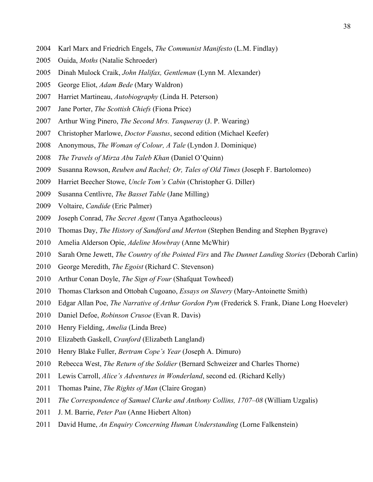- Karl Marx and Friedrich Engels, *The Communist Manifesto* (L.M. Findlay)
- Ouida, *Moths* (Natalie Schroeder)
- Dinah Mulock Craik, *John Halifax, Gentleman* (Lynn M. Alexander)
- George Eliot, *Adam Bede* (Mary Waldron)
- Harriet Martineau, *Autobiography* (Linda H. Peterson)
- Jane Porter, *The Scottish Chiefs* (Fiona Price)
- Arthur Wing Pinero, *The Second Mrs. Tanqueray* (J. P. Wearing)
- Christopher Marlowe, *Doctor Faustus*, second edition (Michael Keefer)
- Anonymous, *The Woman of Colour, A Tale* (Lyndon J. Dominique)
- *The Travels of Mirza Abu Taleb Khan* (Daniel O'Quinn)
- Susanna Rowson, *Reuben and Rachel; Or, Tales of Old Times* (Joseph F. Bartolomeo)
- Harriet Beecher Stowe, *Uncle Tom's Cabin* (Christopher G. Diller)
- Susanna Centlivre, *The Basset Table* (Jane Milling)
- Voltaire, *Candide* (Eric Palmer)
- Joseph Conrad, *The Secret Agent* (Tanya Agathocleous)
- Thomas Day, *The History of Sandford and Merton* (Stephen Bending and Stephen Bygrave)
- Amelia Alderson Opie, *Adeline Mowbray* (Anne McWhir)
- Sarah Orne Jewett, *The Country of the Pointed Firs* and *The Dunnet Landing Stories* (Deborah Carlin)
- George Meredith, *The Egoist* (Richard C. Stevenson)
- Arthur Conan Doyle, *The Sign of Four* (Shafquat Towheed)
- Thomas Clarkson and Ottobah Cugoano, *Essays on Slavery* (Mary-Antoinette Smith)
- Edgar Allan Poe, *The Narrative of Arthur Gordon Pym* (Frederick S. Frank, Diane Long Hoeveler)
- Daniel Defoe, *Robinson Crusoe* (Evan R. Davis)
- Henry Fielding, *Amelia* (Linda Bree)
- Elizabeth Gaskell, *Cranford* (Elizabeth Langland)
- Henry Blake Fuller, *Bertram Cope's Year* (Joseph A. Dimuro)
- Rebecca West, *The Return of the Soldier* (Bernard Schweizer and Charles Thorne)
- Lewis Carroll, *Alice's Adventures in Wonderland*, second ed. (Richard Kelly)
- Thomas Paine, *The Rights of Man* (Claire Grogan)
- *The Correspondence of Samuel Clarke and Anthony Collins, 1707–08* (William Uzgalis)
- J. M. Barrie, *Peter Pan* (Anne Hiebert Alton)
- David Hume, *An Enquiry Concerning Human Understanding* (Lorne Falkenstein)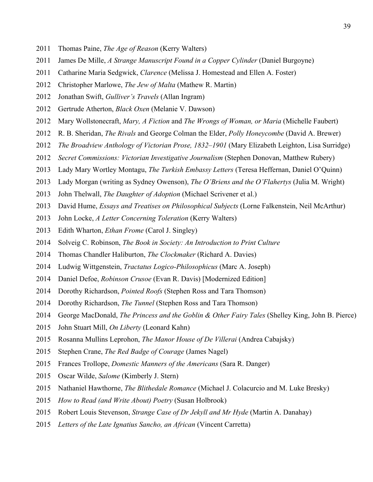- Thomas Paine, *The Age of Reason* (Kerry Walters)
- James De Mille, *A Strange Manuscript Found in a Copper Cylinder* (Daniel Burgoyne)
- Catharine Maria Sedgwick, *Clarence* (Melissa J. Homestead and Ellen A. Foster)
- Christopher Marlowe, *The Jew of Malta* (Mathew R. Martin)
- Jonathan Swift, *Gulliver's Travels* (Allan Ingram)
- Gertrude Atherton, *Black Oxen* (Melanie V. Dawson)
- Mary Wollstonecraft, *Mary, A Fiction* and *The Wrongs of Woman, or Maria* (Michelle Faubert)
- R. B. Sheridan, *The Rivals* and George Colman the Elder, *Polly Honeycombe* (David A. Brewer)
- *The Broadview Anthology of Victorian Prose, 1832–1901* (Mary Elizabeth Leighton, Lisa Surridge)
- *Secret Commissions: Victorian Investigative Journalism* (Stephen Donovan, Matthew Rubery)
- Lady Mary Wortley Montagu, *The Turkish Embassy Letters* (Teresa Heffernan, Daniel O'Quinn)
- Lady Morgan (writing as Sydney Owenson), *The O'Briens and the O'Flahertys* (Julia M. Wright)
- John Thelwall, *The Daughter of Adoption* (Michael Scrivener et al.)
- David Hume, *Essays and Treatises on Philosophical Subjects* (Lorne Falkenstein, Neil McArthur)
- John Locke, *A Letter Concerning Toleration* (Kerry Walters)
- Edith Wharton, *Ethan Frome* (Carol J. Singley)
- Solveig C. Robinson, *The Book in Society: An Introduction to Print Culture*
- Thomas Chandler Haliburton, *The Clockmaker* (Richard A. Davies)
- Ludwig Wittgenstein, *Tractatus Logico-Philosophicus* (Marc A. Joseph)
- Daniel Defoe, *Robinson Crusoe* (Evan R. Davis) [Modernized Edition]
- Dorothy Richardson, *Pointed Roofs* (Stephen Ross and Tara Thomson)
- Dorothy Richardson, *The Tunnel* (Stephen Ross and Tara Thomson)
- George MacDonald, *The Princess and the Goblin & Other Fairy Tales* (Shelley King, John B. Pierce)
- John Stuart Mill, *On Liberty* (Leonard Kahn)
- Rosanna Mullins Leprohon, *The Manor House of De Villerai* (Andrea Cabajsky)
- Stephen Crane, *The Red Badge of Courage* (James Nagel)
- Frances Trollope, *Domestic Manners of the Americans* (Sara R. Danger)
- Oscar Wilde, *Salome* (Kimberly J. Stern)
- Nathaniel Hawthorne, *The Blithedale Romance* (Michael J. Colacurcio and M. Luke Bresky)
- *How to Read (and Write About) Poetry* (Susan Holbrook)
- Robert Louis Stevenson, *Strange Case of Dr Jekyll and Mr Hyde* (Martin A. Danahay)
- *Letters of the Late Ignatius Sancho, an African* (Vincent Carretta)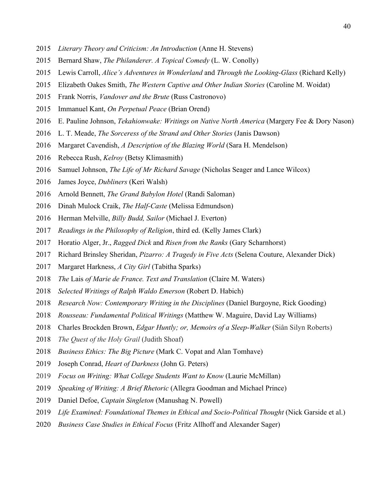- *Literary Theory and Criticism: An Introduction* (Anne H. Stevens)
- Bernard Shaw, *The Philanderer. A Topical Comedy* (L. W. Conolly)
- Lewis Carroll, *Alice's Adventures in Wonderland* and *Through the Looking-Glass* (Richard Kelly)
- Elizabeth Oakes Smith, *The Western Captive and Other Indian Stories* (Caroline M. Woidat)
- Frank Norris, *Vandover and the Brute* (Russ Castronovo)
- Immanuel Kant, *On Perpetual Peace* (Brian Orend)
- E. Pauline Johnson, *Tekahionwake: Writings on Native North America* (Margery Fee & Dory Nason)
- L. T. Meade, *The Sorceress of the Strand and Other Stories* (Janis Dawson)
- Margaret Cavendish, *A Description of the Blazing World* (Sara H. Mendelson)
- Rebecca Rush, *Kelroy* (Betsy Klimasmith)
- Samuel Johnson, *The Life of Mr Richard Savage* (Nicholas Seager and Lance Wilcox)
- James Joyce, *Dubliners* (Keri Walsh)
- Arnold Bennett, *The Grand Babylon Hotel* (Randi Saloman)
- Dinah Mulock Craik, *The Half-Caste* (Melissa Edmundson)
- Herman Melville, *Billy Budd, Sailor* (Michael J. Everton)
- *Readings in the Philosophy of Religion*, third ed. (Kelly James Clark)
- Horatio Alger, Jr., *Ragged Dick* and *Risen from the Ranks* (Gary Scharnhorst)
- Richard Brinsley Sheridan, *Pizarro: A Tragedy in Five Acts* (Selena Couture, Alexander Dick)
- Margaret Harkness, *A City Girl* (Tabitha Sparks)
- *The* Lais *of Marie de France. Text and Translation* (Claire M. Waters)
- *Selected Writings of Ralph Waldo Emerson* (Robert D. Habich)
- *Research Now: Contemporary Writing in the Disciplines* (Daniel Burgoyne, Rick Gooding)
- *Rousseau: Fundamental Political Writings* (Matthew W. Maguire, David Lay Williams)
- Charles Brockden Brown, *Edgar Huntly; or, Memoirs of a Sleep-Walker* (Siân Silyn Roberts)
- *The Quest of the Holy Grail* (Judith Shoaf)
- *Business Ethics: The Big Picture* (Mark C. Vopat and Alan Tomhave)
- Joseph Conrad, *Heart of Darkness* (John G. Peters)
- *Focus on Writing: What College Students Want to Know* (Laurie McMillan)
- *Speaking of Writing: A Brief Rhetoric* (Allegra Goodman and Michael Prince)
- Daniel Defoe, *Captain Singleton* (Manushag N. Powell)
- *Life Examined: Foundational Themes in Ethical and Socio-Political Thought* (Nick Garside et al.)
- *Business Case Studies in Ethical Focus* (Fritz Allhoff and Alexander Sager)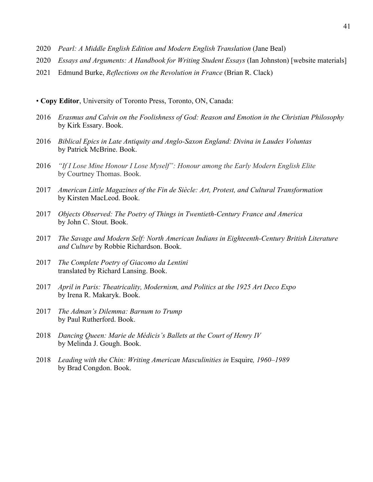- 2020 *Pearl: A Middle English Edition and Modern English Translation* (Jane Beal)
- 2020 *Essays and Arguments: A Handbook for Writing Student Essays* (Ian Johnston) [website materials]
- 2021 Edmund Burke, *Reflections on the Revolution in France* (Brian R. Clack)
- **Copy Editor**, University of Toronto Press, Toronto, ON, Canada:
- 2016 *Erasmus and Calvin on the Foolishness of God: Reason and Emotion in the Christian Philosophy* by Kirk Essary. Book.
- 2016 *Biblical Epics in Late Antiquity and Anglo-Saxon England: Divina in Laudes Voluntas* by Patrick McBrine. Book.
- 2016 *"If I Lose Mine Honour I Lose Myself": Honour among the Early Modern English Elite*  by Courtney Thomas. Book.
- 2017 *American Little Magazines of the Fin de Siècle: Art, Protest, and Cultural Transformation* by Kirsten MacLeod. Book.
- 2017 *Objects Observed: The Poetry of Things in Twentieth-Century France and America* by John C. Stout. Book.
- 2017 *The Savage and Modern Self: North American Indians in Eighteenth-Century British Literature and Culture* by Robbie Richardson. Book.
- 2017 *The Complete Poetry of Giacomo da Lentini* translated by Richard Lansing. Book.
- 2017 *April in Paris: Theatricality, Modernism, and Politics at the 1925 Art Deco Expo* by Irena R. Makaryk. Book.
- 2017 *The Adman's Dilemma: Barnum to Trump* by Paul Rutherford. Book.
- 2018 *Dancing Queen: Marie de Médicis's Ballets at the Court of Henry IV* by Melinda J. Gough. Book.
- 2018 *Leading with the Chin: Writing American Masculinities in* Esquire*, 1960–1989* by Brad Congdon. Book.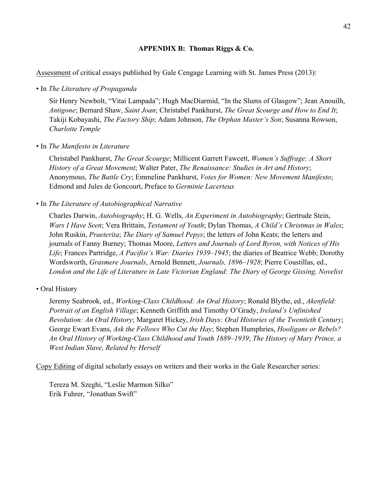# **APPENDIX B: Thomas Riggs & Co.**

Assessment of critical essays published by Gale Cengage Learning with St. James Press (2013):

## • In *The Literature of Propaganda*

Sir Henry Newbolt, "Vitai Lampada"; Hugh MacDiarmid, "In the Slums of Glasgow"; Jean Anouilh, *Antigone*; Bernard Shaw, *Saint Joan*; Christabel Pankhurst, *The Great Scourge and How to End It*; Takiji Kobayashi, *The Factory Ship*; Adam Johnson, *The Orphan Master's Son*; Susanna Rowson, *Charlotte Temple*

# • In *The Manifesto in Literature*

Christabel Pankhurst, *The Great Scourge*; Millicent Garrett Fawcett, *Women's Suffrage: A Short History of a Great Movement*; Walter Pater, *The Renaissance: Studies in Art and History*; Anonymous, *The Battle Cry*; Emmeline Pankhurst, *Votes for Women: New Movement Manifesto*; Edmond and Jules de Goncourt, Preface to *Germinie Lacerteux*

# • In *The Literature of Autobiographical Narrative*

Charles Darwin, *Autobiography*; H. G. Wells, *An Experiment in Autobiography*; Gertrude Stein, *Wars I Have Seen*; Vera Brittain, *Testament of Youth*; Dylan Thomas, *A Child's Christmas in Wales*; John Ruskin, *Praeterita*; *The Diary of Samuel Pepys*; the letters of John Keats; the letters and journals of Fanny Burney; Thomas Moore, *Letters and Journals of Lord Byron, with Notices of His Life*; Frances Partridge, *A Pacifist's War: Diaries 1939–1945*; the diaries of Beatrice Webb; Dorothy Wordsworth, *Grasmere Journals*, Arnold Bennett, *Journals, 1896–1928*; Pierre Coustillas, ed., *London and the Life of Literature in Late Victorian England: The Diary of George Gissing, Novelist*

# • Oral History

Jeremy Seabrook, ed., *Working-Class Childhood: An Oral History*; Ronald Blythe, ed., *Akenfield: Portrait of an English Village*; Kenneth Griffith and Timothy O'Grady, *Ireland's Unfinished Revolution: An Oral History*; Margaret Hickey, *Irish Days: Oral Histories of the Twentieth Century*; George Ewart Evans, *Ask the Fellows Who Cut the Hay*; Stephen Humphries, *Hooligans or Rebels? An Oral History of Working-Class Childhood and Youth 1889–1939*; *The History of Mary Prince, a West Indian Slave, Related by Herself*

Copy Editing of digital scholarly essays on writers and their works in the Gale Researcher series:

Tereza M. Szeghi, "Leslie Marmon Silko" Erik Fuhrer, "Jonathan Swift"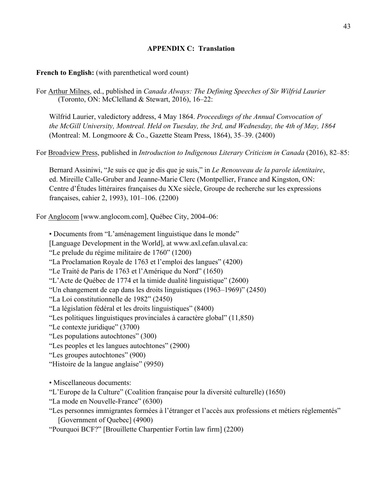# **APPENDIX C: Translation**

# **French to English:** (with parenthetical word count)

For Arthur Milnes, ed., published in *Canada Always: The Defining Speeches of Sir Wilfrid Laurier* (Toronto, ON: McClelland & Stewart, 2016), 16–22:

Wilfrid Laurier, valedictory address, 4 May 1864. *Proceedings of the Annual Convocation of the McGill University, Montreal. Held on Tuesday, the 3rd, and Wednesday, the 4th of May, 1864*  (Montreal: M. Longmoore & Co., Gazette Steam Press, 1864), 35–39. (2400)

For Broadview Press, published in *Introduction to Indigenous Literary Criticism in Canada* (2016), 82–85:

Bernard Assiniwi, "Je suis ce que je dis que je suis," in *Le Renouveau de la parole identitaire*, ed. Mireille Calle-Gruber and Jeanne-Marie Clerc (Montpellier, France and Kingston, ON: Centre d'Études littéraires françaises du XXe siècle, Groupe de recherche sur les expressions françaises, cahier 2, 1993), 101–106. (2200)

For Anglocom [www.anglocom.com], Québec City, 2004**–**06:

• Documents from "L'aménagement linguistique dans le monde" [Language Development in the World], at www.axl.cefan.ulaval.ca: "Le prelude du régime militaire de 1760" (1200) "La Proclamation Royale de 1763 et l'emploi des langues" (4200) "Le Traité de Paris de 1763 et l'Amérique du Nord" (1650) "L'Acte de Québec de 1774 et la timide dualité linguistique" (2600) "Un changement de cap dans les droits linguistiques (1963–1969)" (2450) "La Loi constitutionnelle de 1982" (2450) "La législation fédéral et les droits linguistiques" (8400) "Les politiques linguistiques provinciales à caractère global" (11,850) "Le contexte juridique" (3700) "Les populations autochtones" (300) "Les peoples et les langues autochtones" (2900) "Les groupes autochtones" (900) "Histoire de la langue anglaise" (9950)

• Miscellaneous documents:

"L'Europe de la Culture" (Coalition française pour la diversité culturelle) (1650)

"La mode en Nouvelle-France" (6300)

"Les personnes immigrantes formées à l'étranger et l'accès aux professions et métiers réglementés" [Government of Quebec] (4900)

"Pourquoi BCF?" [Brouillette Charpentier Fortin law firm] (2200)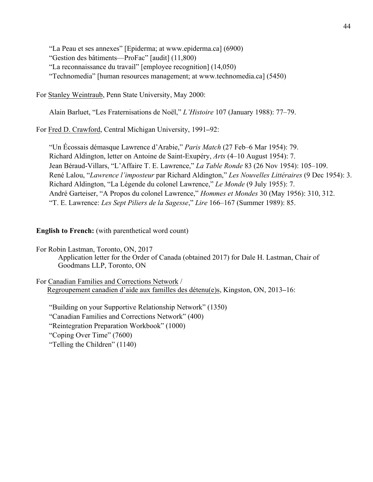"La Peau et ses annexes" [Epiderma; at www.epiderma.ca] (6900) "Gestion des bâtiments—ProFac" [audit] (11,800) "La reconnaissance du travail" [employee recognition] (14,050) "Technomedia" [human resources management; at www.technomedia.ca] (5450)

For Stanley Weintraub, Penn State University, May 2000:

Alain Barluet, "Les Fraternisations de Noël," *L'Histoire* 107 (January 1988): 77–79.

For Fred D. Crawford, Central Michigan University, 1991**–**92:

"Un Écossais démasque Lawrence d'Arabie," *Paris Match* (27 Feb–6 Mar 1954): 79. Richard Aldington, letter on Antoine de Saint-Exupéry, *Arts* (4–10 August 1954): 7. Jean Béraud-Villars, "L'Affaire T. E. Lawrence," *La Table Ronde* 83 (26 Nov 1954): 105–109. René Lalou, "*Lawrence l'imposteur* par Richard Aldington," *Les Nouvelles Littéraires* (9 Dec 1954): 3. Richard Aldington, "La Légende du colonel Lawrence," *Le Monde* (9 July 1955): 7. André Garteiser, "A Propos du colonel Lawrence," *Hommes et Mondes* 30 (May 1956): 310, 312. "T. E. Lawrence: *Les Sept Piliers de la Sagesse*," *Lire* 166–167 (Summer 1989): 85.

**English to French:** (with parenthetical word count)

For Robin Lastman, Toronto, ON, 2017 Application letter for the Order of Canada (obtained 2017) for Dale H. Lastman, Chair of Goodmans LLP, Toronto, ON

For Canadian Families and Corrections Network / Regroupement canadien d'aide aux familles des détenu(e)s, Kingston, ON, 2013**–**16:

"Building on your Supportive Relationship Network" (1350) "Canadian Families and Corrections Network" (400) "Reintegration Preparation Workbook" (1000) "Coping Over Time" (7600) "Telling the Children" (1140)